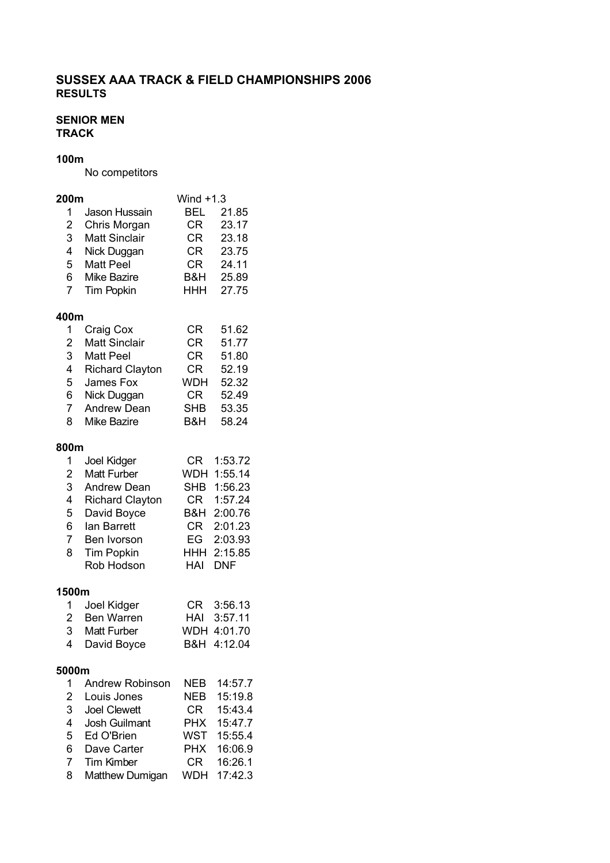### **SENIOR MEN TRACK**

#### **100m**

No competitors

| 200m                    |                        | Wind $+1.3$ |            |  |  |  |  |  |  |
|-------------------------|------------------------|-------------|------------|--|--|--|--|--|--|
| 1                       | Jason Hussain          |             | BEL 21.85  |  |  |  |  |  |  |
| $\overline{c}$          | Chris Morgan           | <b>CR</b>   | 23.17      |  |  |  |  |  |  |
| 3                       | <b>Matt Sinclair</b>   | CR .        | 23.18      |  |  |  |  |  |  |
| 4                       | Nick Duggan            | CR          | 23.75      |  |  |  |  |  |  |
| 5                       | <b>Matt Peel</b>       | CR .        | 24.11      |  |  |  |  |  |  |
| 6                       | <b>Mike Bazire</b>     | B&H         | 25.89      |  |  |  |  |  |  |
| $\overline{7}$          | Tim Popkin             | HHH         | 27.75      |  |  |  |  |  |  |
| 400m                    |                        |             |            |  |  |  |  |  |  |
| 1                       | Craig Cox              | CR          | 51.62      |  |  |  |  |  |  |
| $\overline{c}$          | <b>Matt Sinclair</b>   | CR          | 51.77      |  |  |  |  |  |  |
| 3                       | <b>Matt Peel</b>       | CR          | 51.80      |  |  |  |  |  |  |
| 4                       | <b>Richard Clayton</b> | <b>CR</b>   | 52.19      |  |  |  |  |  |  |
| 5                       | James Fox              | <b>WDH</b>  | 52.32      |  |  |  |  |  |  |
| 6                       | Nick Duggan            | CR .        | 52.49      |  |  |  |  |  |  |
| $\overline{7}$          | <b>Andrew Dean</b>     | <b>SHB</b>  | 53.35      |  |  |  |  |  |  |
| 8                       | <b>Mike Bazire</b>     | B&H         | 58.24      |  |  |  |  |  |  |
|                         | 800m                   |             |            |  |  |  |  |  |  |
| 1                       | Joel Kidger            |             | CR 1:53.72 |  |  |  |  |  |  |
| $\overline{\mathbf{c}}$ | <b>Matt Furber</b>     | <b>WDH</b>  | 1:55.14    |  |  |  |  |  |  |
| 3                       | <b>Andrew Dean</b>     | <b>SHB</b>  | 1:56.23    |  |  |  |  |  |  |
| 4                       | <b>Richard Clayton</b> | <b>CR</b>   | 1:57.24    |  |  |  |  |  |  |
| 5                       | David Boyce            | B&H         | 2:00.76    |  |  |  |  |  |  |
| 6                       | lan Barrett            | <b>CR</b>   | 2:01.23    |  |  |  |  |  |  |
| $\overline{7}$          | Ben Ivorson            | EG          | 2:03.93    |  |  |  |  |  |  |
| 8                       | <b>Tim Popkin</b>      | HHH         | 2:15.85    |  |  |  |  |  |  |
|                         | Rob Hodson             | HAI         | <b>DNF</b> |  |  |  |  |  |  |
| 1500m                   |                        |             |            |  |  |  |  |  |  |
| 1                       | Joel Kidger            | CR          | 3:56.13    |  |  |  |  |  |  |
| 2 <sup>1</sup>          | Ben Warren             | HAI         | 3:57.11    |  |  |  |  |  |  |
| 3                       | Matt Furber            | WDH         | 4:01.70    |  |  |  |  |  |  |
| 4                       | David Boyce            | B&H         | 4:12.04    |  |  |  |  |  |  |
| 5000m                   |                        |             |            |  |  |  |  |  |  |
| 1                       | <b>Andrew Robinson</b> | <b>NEB</b>  | 14:57.7    |  |  |  |  |  |  |
| $\overline{2}$          | Louis Jones            | NEB         | 15:19.8    |  |  |  |  |  |  |
| 3                       | <b>Joel Clewett</b>    | CR.         | 15:43.4    |  |  |  |  |  |  |
| 4                       | <b>Josh Guilmant</b>   | <b>PHX</b>  | 15:47.7    |  |  |  |  |  |  |
| 5                       | Ed O'Brien             | WST         | 15:55.4    |  |  |  |  |  |  |
| 6                       | Dave Carter            | <b>PHX</b>  | 16:06.9    |  |  |  |  |  |  |

7 CR 16:26.1 Tim Kimber 8 Matthew Dumigan WDH 17:42.3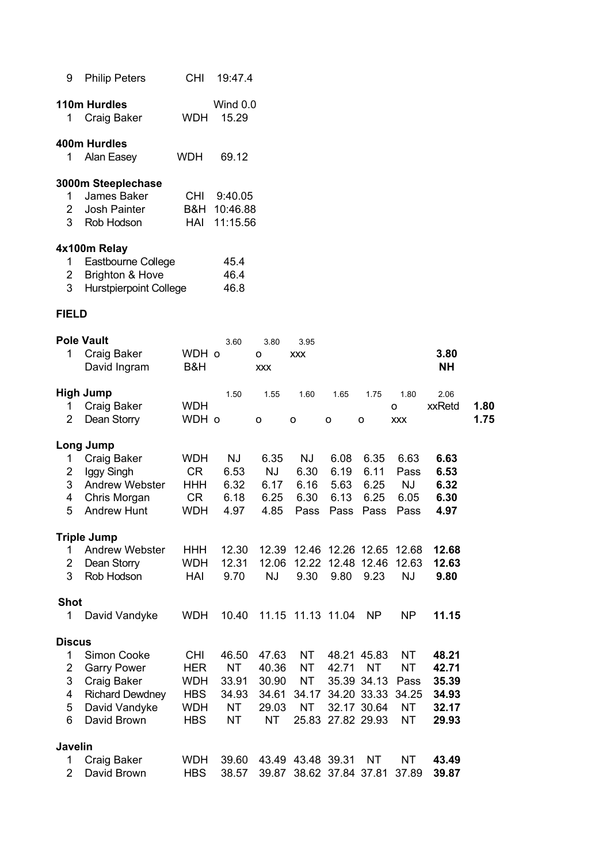| 9                                  | <b>Philip Peters</b>                                                                              | <b>CHI</b>                                                | 19:47.4                                   |                                           |                                           |                                        |                                      |                                           |                                      |              |
|------------------------------------|---------------------------------------------------------------------------------------------------|-----------------------------------------------------------|-------------------------------------------|-------------------------------------------|-------------------------------------------|----------------------------------------|--------------------------------------|-------------------------------------------|--------------------------------------|--------------|
| 1                                  | 110m Hurdles<br>Craig Baker                                                                       | <b>WDH</b>                                                | Wind 0.0<br>15.29                         |                                           |                                           |                                        |                                      |                                           |                                      |              |
| $\mathbf{1}$                       | 400m Hurdles<br>Alan Easey                                                                        | <b>WDH</b>                                                | 69.12                                     |                                           |                                           |                                        |                                      |                                           |                                      |              |
| 1<br>$\overline{2}$<br>3           | 3000m Steeplechase<br>James Baker<br>Josh Painter<br>Rob Hodson                                   | <b>CHI</b><br>B&H<br>HAI                                  | 9:40.05<br>10:46.88<br>11:15.56           |                                           |                                           |                                        |                                      |                                           |                                      |              |
| 1<br>$\overline{2}$<br>3           | 4x100m Relay<br>Eastbourne College<br><b>Brighton &amp; Hove</b><br><b>Hurstpierpoint College</b> |                                                           | 45.4<br>46.4<br>46.8                      |                                           |                                           |                                        |                                      |                                           |                                      |              |
| <b>FIELD</b>                       |                                                                                                   |                                                           |                                           |                                           |                                           |                                        |                                      |                                           |                                      |              |
| 1                                  | <b>Pole Vault</b><br>Craig Baker<br>David Ingram                                                  | WDH o<br>B&H                                              | 3.60                                      | 3.80<br>O<br><b>XXX</b>                   | 3.95<br><b>XXX</b>                        |                                        |                                      |                                           | 3.80<br><b>NH</b>                    |              |
| 1<br>$\overline{2}$                | <b>High Jump</b><br>Craig Baker<br>Dean Storry                                                    | <b>WDH</b><br>WDH o                                       | 1.50                                      | 1.55<br>$\mathsf{o}$                      | 1.60<br>$\circ$                           | 1.65<br>o                              | 1.75<br>o                            | 1.80<br>O<br><b>XXX</b>                   | 2.06<br>xxRetd                       | 1.80<br>1.75 |
| 1<br>$\overline{2}$<br>3<br>4<br>5 | Long Jump<br>Craig Baker<br>Iggy Singh<br>Andrew Webster<br>Chris Morgan<br><b>Andrew Hunt</b>    | <b>WDH</b><br><b>CR</b><br><b>HHH</b><br>CR<br><b>WDH</b> | <b>NJ</b><br>6.53<br>6.32<br>6.18<br>4.97 | 6.35<br><b>NJ</b><br>6.17<br>6.25<br>4.85 | <b>NJ</b><br>6.30<br>6.16<br>6.30<br>Pass | 6.08<br>6.19<br>5.63<br>6.13<br>Pass   | 6.35<br>6.11<br>6.25<br>6.25<br>Pass | 6.63<br>Pass<br><b>NJ</b><br>6.05<br>Pass | 6.63<br>6.53<br>6.32<br>6.30<br>4.97 |              |
| 1<br>$\overline{2}$                | <b>Triple Jump</b><br><b>Andrew Webster</b><br>Dean Storry                                        | <b>HHH</b><br><b>WDH</b>                                  | 12.30<br>12.31                            | 12.39<br>12.06                            |                                           | 12.46 12.26 12.65<br>12.22 12.48 12.46 |                                      | 12.68<br>12.63                            | 12.68<br>12.63                       |              |

| 1              | <b>Andrew Webster</b>  | HHH        | 12.30     | 12.39 | 12.46             |                   | 12.26 12.65 | 12.68     | 12.68 |
|----------------|------------------------|------------|-----------|-------|-------------------|-------------------|-------------|-----------|-------|
| 2              | Dean Storry            | <b>WDH</b> | 12.31     | 12.06 | 12.22             | 12.48             | 12.46       | 12.63     | 12.63 |
| 3              | Rob Hodson             | HAI        | 9.70      | NJ    | 9.30              | 9.80              | 9.23        | NJ        | 9.80  |
| <b>Shot</b>    |                        |            |           |       |                   |                   |             |           |       |
| 1              | David Vandyke          | WDH        | 10.40     |       | 11.15 11.13 11.04 |                   | <b>NP</b>   | <b>NP</b> | 11.15 |
| <b>Discus</b>  |                        |            |           |       |                   |                   |             |           |       |
| 1              | Simon Cooke            | CHI        | 46.50     | 47.63 | ΝT                |                   | 48.21 45.83 | ΝT        | 48.21 |
| 2              | <b>Garry Power</b>     | HER        | NT        | 40.36 | ΝT                | 42.71             | NT.         | ΝT        | 42.71 |
| 3              | Craig Baker            | <b>WDH</b> | 33.91     | 30.90 | ΝT                |                   | 35.39 34.13 | Pass      | 35.39 |
| 4              | <b>Richard Dewdney</b> | <b>HBS</b> | 34.93     | 34.61 | 34.17             |                   | 34.20 33.33 | 34.25     | 34.93 |
| 5              | David Vandyke          | <b>WDH</b> | NT        | 29.03 | ΝT                |                   | 32.17 30.64 | NT.       | 32.17 |
| 6              | David Brown            | <b>HBS</b> | <b>NT</b> | NΤ    |                   | 25.83 27.82 29.93 |             | NT        | 29.93 |
| <b>Javelin</b> |                        |            |           |       |                   |                   |             |           |       |
| 1              | Craig Baker            | WDH        | 39.60     | 43.49 | 43.48             | 39.31             | NT          | ΝT        | 43.49 |
| $\mathcal{P}$  | David Brown            | HBS        | 38.57     | 39.87 |                   | 38.62 37.84 37.81 |             | 37.89     | 39.87 |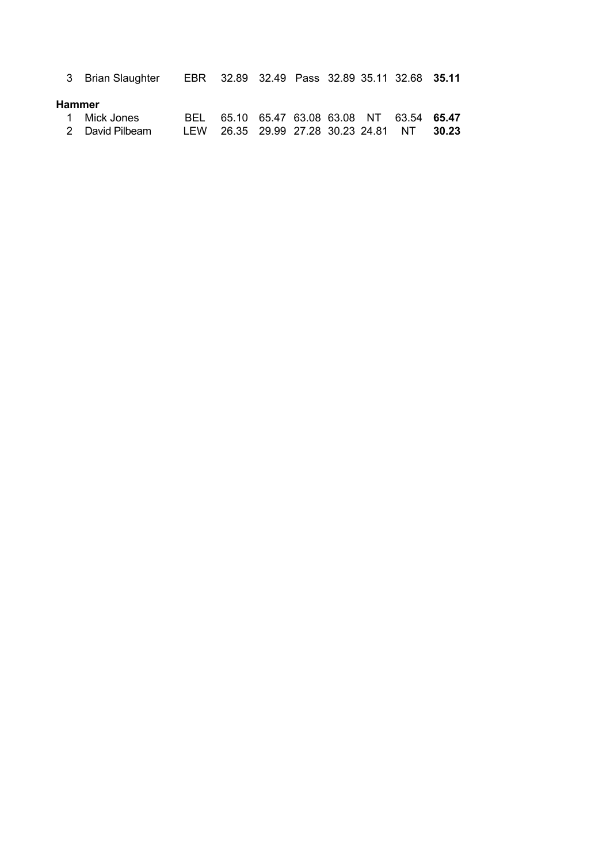|               | 3 Brian Slaughter |       | EBR 32.89 32.49 Pass 32.89 35.11 32.68 35.11 |  |  |                                        |       |
|---------------|-------------------|-------|----------------------------------------------|--|--|----------------------------------------|-------|
| <b>Hammer</b> |                   |       |                                              |  |  |                                        |       |
|               | 1 Mick Jones      | BEL - |                                              |  |  | 65.10 65.47 63.08 63.08 NT 63.54 65.47 |       |
|               | 2 David Pilbeam   | LEW   | 26.35 29.99 27.28 30.23 24.81 NT             |  |  |                                        | 30.23 |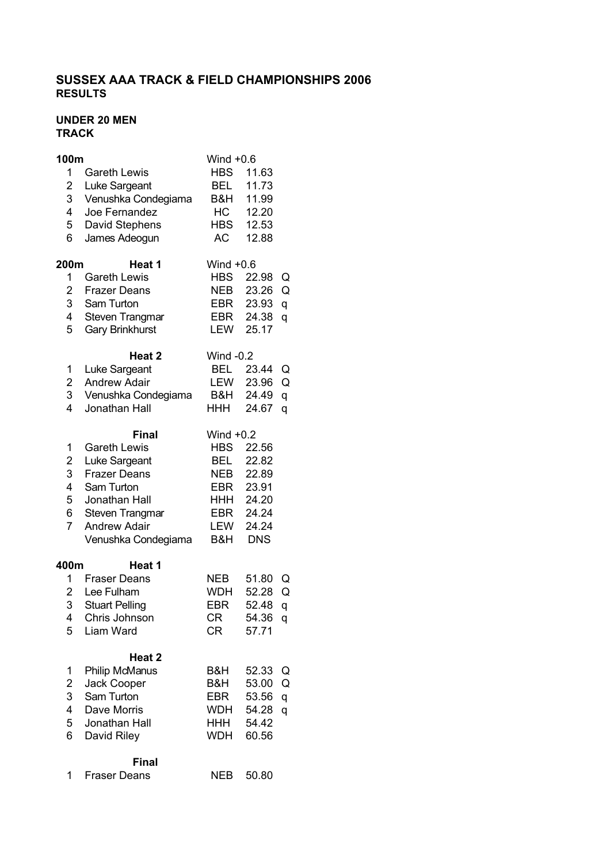#### **UNDER 20 MEN TRACK**

## **100m** Wind +0.6 1 Gareth Lewis HBS 11.63 2 BEL 11.73 Luke Sargeant 3 Venushka Condegiama B&H 11.99 4 Joe Fernandez HC 12.20 5 David Stephens HBS 12.53 6 AC 12.88 James Adeogun **200m Heat 1** Wind +0.6 1 Gareth Lewis **HBS** 22.98 Q 2 Frazer Deans NEB 23.26 Q EBR 23.93 q 4 EBR 24.38 q Steven Trangmar 5 LEW 25.17 Gary Brinkhurst **Heat 2** Wind -0.2 1 BEL 23.44 Q Luke Sargeant 2 Andrew Adair LEW 23.96 Q<br>3 Venushka Condegiama B&H 24.49 q 3 Venushka Condegiama B&H 24.49 q 4 Jonathan Hall **HHH** 24.67 q **Final** Wind +0.2 1 Gareth Lewis HBS 22.56 2 BEL 22.82 Luke Sargeant 3 Frazer Deans NEB 22.89 4 EBR 23.91 Sam Turton 5 Jonathan Hall HHH 24.20 6 EBR 24.24 Steven Trangmar 7 Andrew Adair **LEW** 24.24 B&H DNS **400m Heat 1** 1 Fraser Deans NEB 51.80 Q 2 WDH 52.28 Q Lee Fulham 3 EBR 52.48 q Stuart Pelling 4 Chris Johnson CR 54.36 q 5 Liam Ward CR 57.71 **Heat 2** 1 B&H 52.33 Q Philip McManus 2 Jack Cooper B&H 53.00 Q 3 EBR 53.56 q Sam Turton4 Dave Morris WDH 54.28 q 5 Jonathan Hall HHH 54.42 6 David Riley WDH 60.56 **Final** 1 Fraser Deans NEB 50.80 3 Sam Turton Venushka Condegiama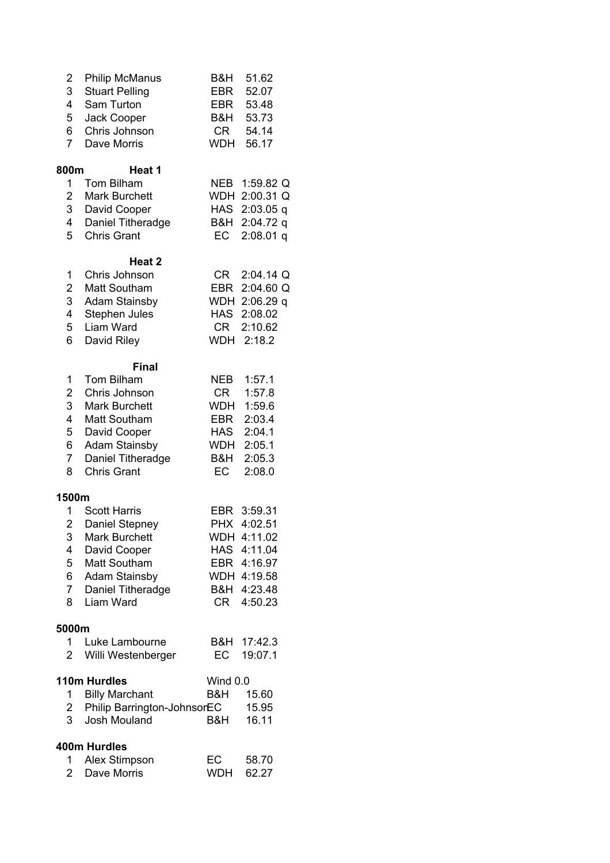| $\overline{\mathbf{c}}$<br>3 <sup>1</sup><br>$4 -$<br>5 <sup>5</sup><br>$6 -$<br>$\overline{7}$ | <b>Philip McManus</b><br><b>Stuart Pelling</b><br>Sam Turton<br>Jack Cooper<br>Chris Johnson<br>Dave Morris | B&H<br><b>EBR</b><br>EBR<br>WDH | 51.62<br>52.07<br>53.48<br>B&H 53.73<br>CR 54.14<br>56.17 |
|-------------------------------------------------------------------------------------------------|-------------------------------------------------------------------------------------------------------------|---------------------------------|-----------------------------------------------------------|
| 800m                                                                                            | Heat 1                                                                                                      |                                 |                                                           |
| 1                                                                                               | <b>Tom Bilham</b>                                                                                           |                                 | NEB 1:59.82 Q                                             |
| $\overline{\mathbf{c}}$<br>3 <sup>1</sup>                                                       | Mark Burchett<br>David Cooper                                                                               |                                 | WDH 2:00.31 Q<br>HAS 2:03.05 q                            |
| 4 <sup>1</sup>                                                                                  | Daniel Titheradge                                                                                           |                                 | B&H 2:04.72 q                                             |
| 5                                                                                               | <b>Chris Grant</b>                                                                                          |                                 | EC 2:08.01 q                                              |
|                                                                                                 | Heat <sub>2</sub>                                                                                           |                                 |                                                           |
| 1                                                                                               | Chris Johnson                                                                                               |                                 | CR 2:04.14 Q                                              |
| $\overline{\mathbf{c}}$                                                                         | Matt Southam                                                                                                |                                 | EBR 2:04.60 Q                                             |
| 3 <sup>1</sup>                                                                                  | <b>Adam Stainsby</b>                                                                                        |                                 | WDH 2:06.29 q                                             |
| 4 <sup>1</sup>                                                                                  | Stephen Jules                                                                                               |                                 | HAS 2:08.02                                               |
| 5                                                                                               | Liam Ward                                                                                                   |                                 | CR 2:10.62                                                |
| 6                                                                                               | David Riley                                                                                                 |                                 | WDH 2:18.2                                                |
|                                                                                                 | <b>Final</b>                                                                                                |                                 |                                                           |
| 1                                                                                               | Tom Bilham                                                                                                  | <b>NEB</b>                      | 1:57.1                                                    |
| $\overline{\mathbf{c}}$<br>3 <sup>1</sup>                                                       | Chris Johnson                                                                                               | CR —<br><b>WDH</b>              | 1:57.8                                                    |
| 4 <sup>1</sup>                                                                                  | <b>Mark Burchett</b><br>Matt Southam                                                                        | EBR                             | 1:59.6<br>2:03.4                                          |
| 5                                                                                               | David Cooper                                                                                                | <b>HAS</b>                      | 2:04.1                                                    |
| 6                                                                                               | <b>Adam Stainsby</b>                                                                                        | WDH                             | 2:05.1                                                    |
| 7                                                                                               | Daniel Titheradge                                                                                           | B&H                             | 2:05.3                                                    |
| 8                                                                                               | <b>Chris Grant</b>                                                                                          | EC                              | 2:08.0                                                    |
| 1500m                                                                                           |                                                                                                             |                                 |                                                           |
| 1                                                                                               | <b>Scott Harris</b>                                                                                         |                                 | EBR 3:59.31                                               |
| $\overline{2}$                                                                                  | Daniel Stepney                                                                                              |                                 | PHX 4:02.51                                               |
| 3                                                                                               | <b>Mark Burchett</b>                                                                                        |                                 | WDH 4:11.02                                               |
| 4                                                                                               | David Cooper                                                                                                |                                 | HAS 4:11.04                                               |
| 5                                                                                               | Matt Southam                                                                                                |                                 | EBR 4:16.97                                               |
| $6 -$                                                                                           | <b>Adam Stainsby</b>                                                                                        |                                 | WDH 4:19.58                                               |
| 7 <sup>7</sup>                                                                                  | Daniel Titheradge                                                                                           |                                 | B&H 4:23.48                                               |
| 8                                                                                               | Liam Ward                                                                                                   |                                 | CR 4:50.23                                                |
| 5000m                                                                                           |                                                                                                             |                                 |                                                           |
| 1<br>$\overline{2}$                                                                             | Luke Lambourne<br>Willi Westenberger                                                                        | EC                              | B&H 17:42.3<br>19:07.1                                    |
|                                                                                                 | 110m Hurdles                                                                                                | Wind 0.0                        |                                                           |
| 1                                                                                               | <b>Billy Marchant</b>                                                                                       | B&H                             | 15.60                                                     |
| $\overline{2}$                                                                                  | Philip Barrington-JohnsorEC                                                                                 |                                 | 15.95                                                     |
| 3                                                                                               | <b>Josh Mouland</b>                                                                                         | B&H                             | 16.11                                                     |
|                                                                                                 | 400m Hurdles                                                                                                |                                 |                                                           |
| 1                                                                                               | Alex Stimpson                                                                                               | EC                              | 58.70                                                     |
| $\overline{2}$                                                                                  | Dave Morris                                                                                                 | <b>WDH</b>                      | 62.27                                                     |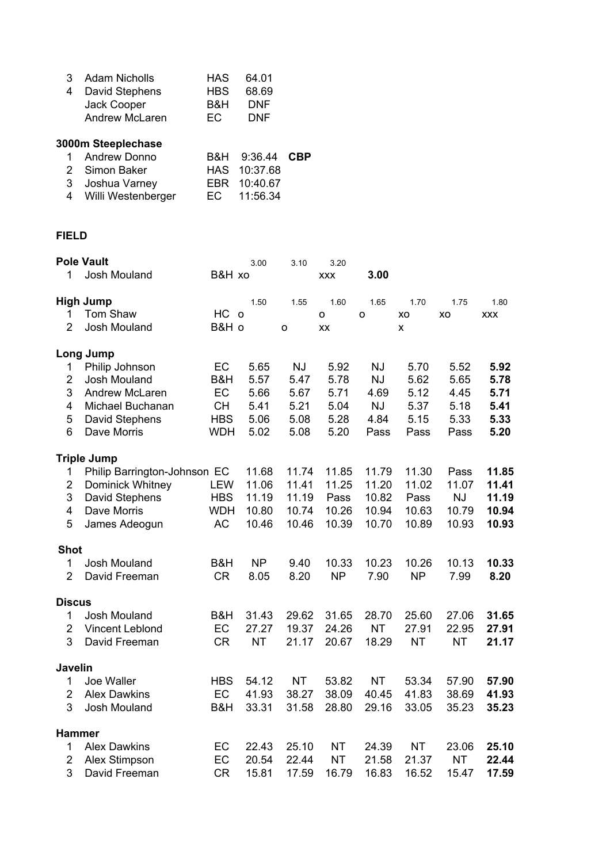| 3 | Adam Nicholls  | <b>HAS</b> | 64.01      |
|---|----------------|------------|------------|
| 4 | David Stephens | <b>HBS</b> | 68.69      |
|   | Jack Cooper    | B&H        | <b>DNF</b> |
|   | Andrew McLaren | FC.        | <b>DNF</b> |
|   |                |            |            |

## **3000m Steeplechase**

| 1 Andrew Donno       | B&H 9:36.44 <b>CBP</b> |  |
|----------------------|------------------------|--|
| 2 Simon Baker        | HAS 10:37.68           |  |
| 3 Joshua Varney      | EBR 10:40.67           |  |
| 4 Willi Westenberger | EC 11:56.34            |  |

| 1                                                                          | <b>Pole Vault</b><br>Josh Mouland                                                                                        | B&H xo                                                   | 3.00                                         | 3.10                                              | 3.20<br><b>XXX</b>                           | 3.00                                                        |                                              |                                              |                                              |
|----------------------------------------------------------------------------|--------------------------------------------------------------------------------------------------------------------------|----------------------------------------------------------|----------------------------------------------|---------------------------------------------------|----------------------------------------------|-------------------------------------------------------------|----------------------------------------------|----------------------------------------------|----------------------------------------------|
| 1<br>$\overline{2}$                                                        | <b>High Jump</b><br>Tom Shaw<br>Josh Mouland                                                                             | HC o<br>B&H o                                            | 1.50                                         | 1.55<br>O                                         | 1.60<br>o<br>XX                              | 1.65<br>o                                                   | 1.70<br>XO<br>X                              | 1.75<br>XO                                   | 1.80<br><b>XXX</b>                           |
| 1<br>$\overline{2}$<br>3<br>$\overline{\mathbf{4}}$<br>5<br>$6\phantom{1}$ | Long Jump<br>Philip Johnson<br>Josh Mouland<br>Andrew McLaren<br>Michael Buchanan<br>David Stephens<br>Dave Morris       | EC<br>B&H<br>EC<br><b>CH</b><br><b>HBS</b><br><b>WDH</b> | 5.65<br>5.57<br>5.66<br>5.41<br>5.06<br>5.02 | <b>NJ</b><br>5.47<br>5.67<br>5.21<br>5.08<br>5.08 | 5.92<br>5.78<br>5.71<br>5.04<br>5.28<br>5.20 | <b>NJ</b><br><b>NJ</b><br>4.69<br><b>NJ</b><br>4.84<br>Pass | 5.70<br>5.62<br>5.12<br>5.37<br>5.15<br>Pass | 5.52<br>5.65<br>4.45<br>5.18<br>5.33<br>Pass | 5.92<br>5.78<br>5.71<br>5.41<br>5.33<br>5.20 |
| 1<br>$\overline{c}$<br>$\sqrt{3}$<br>$\overline{\mathbf{4}}$<br>5          | <b>Triple Jump</b><br>Philip Barrington-Johnson EC<br>Dominick Whitney<br>David Stephens<br>Dave Morris<br>James Adeogun | LEW<br><b>HBS</b><br><b>WDH</b><br>AC                    | 11.68<br>11.06<br>11.19<br>10.80<br>10.46    | 11.74<br>11.41<br>11.19<br>10.74<br>10.46         | 11.85<br>11.25<br>Pass<br>10.26<br>10.39     | 11.79<br>11.20<br>10.82<br>10.94<br>10.70                   | 11.30<br>11.02<br>Pass<br>10.63<br>10.89     | Pass<br>11.07<br><b>NJ</b><br>10.79<br>10.93 | 11.85<br>11.41<br>11.19<br>10.94<br>10.93    |
| <b>Shot</b><br>1<br>$\overline{2}$                                         | Josh Mouland<br>David Freeman                                                                                            | B&H<br><b>CR</b>                                         | <b>NP</b><br>8.05                            | 9.40<br>8.20                                      | 10.33<br><b>NP</b>                           | 10.23<br>7.90                                               | 10.26<br><b>NP</b>                           | 10.13<br>7.99                                | 10.33<br>8.20                                |
| <b>Discus</b><br>$\mathbf 1$<br>$\overline{2}$<br>3                        | Josh Mouland<br>Vincent Leblond<br>David Freeman                                                                         | B&H<br>EC<br><b>CR</b>                                   | 31.43<br>27.27<br><b>NT</b>                  | 29.62<br>19.37<br>21.17                           | 31.65<br>24.26<br>20.67                      | 28.70<br><b>NT</b><br>18.29                                 | 25.60<br>27.91<br><b>NT</b>                  | 27.06<br>22.95<br><b>NT</b>                  | 31.65<br>27.91<br>21.17                      |
| <b>Javelin</b><br>$\mathbf{1}$<br>$\overline{2}$<br>3                      | Joe Waller<br><b>Alex Dawkins</b><br>Josh Mouland                                                                        | <b>HBS</b><br>EC<br>B&H                                  | 54.12<br>41.93<br>33.31                      | <b>NT</b><br>38.27<br>31.58                       | 53.82<br>38.09<br>28.80                      | <b>NT</b><br>40.45<br>29.16                                 | 53.34<br>41.83<br>33.05                      | 57.90<br>38.69<br>35.23                      | 57.90<br>41.93<br>35.23                      |
| <b>Hammer</b><br>$\mathbf 1$<br>$\overline{2}$<br>3                        | <b>Alex Dawkins</b><br>Alex Stimpson<br>David Freeman                                                                    | EC<br>EC<br><b>CR</b>                                    | 22.43<br>20.54<br>15.81                      | 25.10<br>22.44<br>17.59                           | <b>NT</b><br><b>NT</b><br>16.79              | 24.39<br>21.58<br>16.83                                     | <b>NT</b><br>21.37<br>16.52                  | 23.06<br><b>NT</b><br>15.47                  | 25.10<br>22.44<br>17.59                      |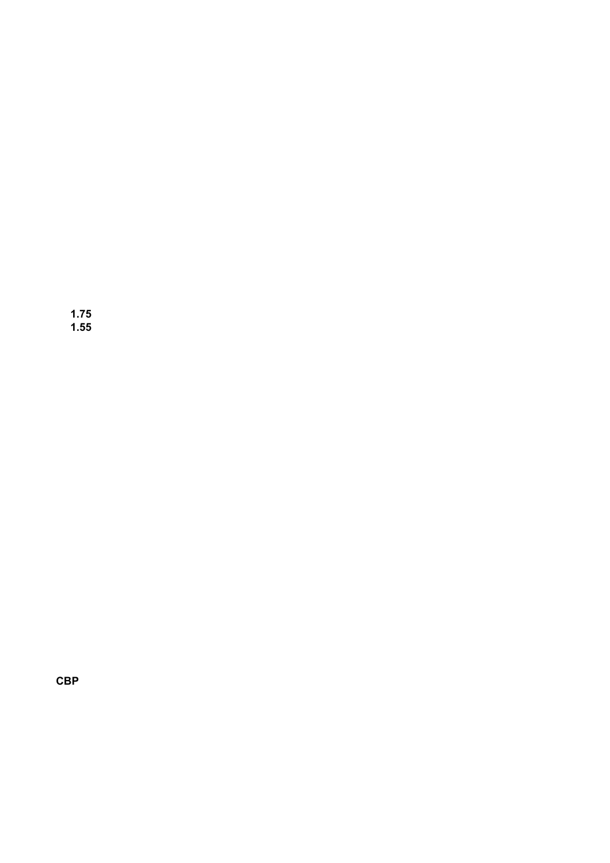**1.75 1.55**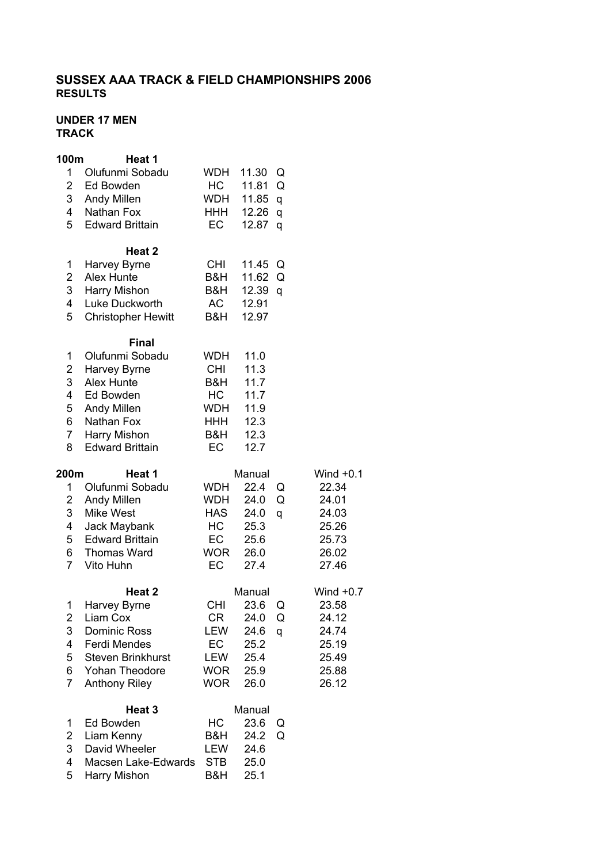### **UNDER 17 MEN TRACK**

| 100m                                                       | Heat 1                                                                                                                                            |                                                                  |                                                                |             |                                                                            |
|------------------------------------------------------------|---------------------------------------------------------------------------------------------------------------------------------------------------|------------------------------------------------------------------|----------------------------------------------------------------|-------------|----------------------------------------------------------------------------|
| 1<br>$\overline{2}$<br>3                                   | Olufunmi Sobadu<br>Ed Bowden<br>Andy Millen                                                                                                       | WDH<br>HC<br>WDH                                                 | 11.30<br>11.81<br>11.85 q                                      | Q<br>Q      |                                                                            |
| 4<br>5                                                     | Nathan Fox<br><b>Edward Brittain</b>                                                                                                              | HHH<br>EC                                                        | 12.26<br>12.87                                                 | q<br>q      |                                                                            |
| 1<br>$\overline{2}$<br>3<br>4<br>5                         | Heat 2<br>Harvey Byrne<br><b>Alex Hunte</b><br>Harry Mishon<br>Luke Duckworth<br><b>Christopher Hewitt</b>                                        | <b>CHI</b><br>B&H<br>B&H<br>AC<br>B&H                            | 11.45<br>11.62<br>12.39<br>12.91<br>12.97                      | Q<br>Q<br>q |                                                                            |
| 1<br>2<br>3<br>$\overline{\mathbf{4}}$<br>5<br>6<br>7<br>8 | <b>Final</b><br>Olufunmi Sobadu<br>Harvey Byrne<br>Alex Hunte<br>Ed Bowden<br>Andy Millen<br>Nathan Fox<br>Harry Mishon<br><b>Edward Brittain</b> | WDH<br><b>CHI</b><br>B&H<br>HC<br>WDH<br>HHH<br>B&H<br>EC        | 11.0<br>11.3<br>11.7<br>11.7<br>11.9<br>12.3<br>12.3<br>12.7   |             |                                                                            |
| 200m<br>1<br>2<br>3<br>4<br>5<br>$6\phantom{a}$<br>7       | Heat 1<br>Olufunmi Sobadu<br>Andy Millen<br>Mike West<br>Jack Maybank<br><b>Edward Brittain</b><br><b>Thomas Ward</b><br>Vito Huhn                | <b>WDH</b><br><b>WDH</b><br><b>HAS</b><br>HC<br>EC<br>WOR<br>EC  | Manual<br>22.4<br>24.0<br>24.0<br>25.3<br>25.6<br>26.0<br>27.4 | Q<br>Q<br>q | Wind $+0.1$<br>22.34<br>24.01<br>24.03<br>25.26<br>25.73<br>26.02<br>27.46 |
| 1<br>2<br>3<br>4<br>5<br>6<br>$\overline{7}$               | Heat 2<br>Harvey Byrne<br>Liam Cox<br><b>Dominic Ross</b><br>Ferdi Mendes<br><b>Steven Brinkhurst</b><br>Yohan Theodore<br><b>Anthony Riley</b>   | <b>CHI</b><br>CR<br>LEW<br>EC<br>LEW<br><b>WOR</b><br><b>WOR</b> | Manual<br>23.6<br>24.0<br>24.6<br>25.2<br>25.4<br>25.9<br>26.0 | Q<br>Q<br>q | Wind $+0.7$<br>23.58<br>24.12<br>24.74<br>25.19<br>25.49<br>25.88<br>26.12 |
| 1<br>2<br>3<br>4<br>5                                      | Heat 3<br>Ed Bowden<br>Liam Kenny<br>David Wheeler<br>Macsen Lake-Edwards<br>Harry Mishon                                                         | НC<br>B&H<br>LEW<br><b>STB</b><br>B&H                            | Manual<br>23.6<br>24.2<br>24.6<br>25.0<br>25.1                 | Q<br>Q      |                                                                            |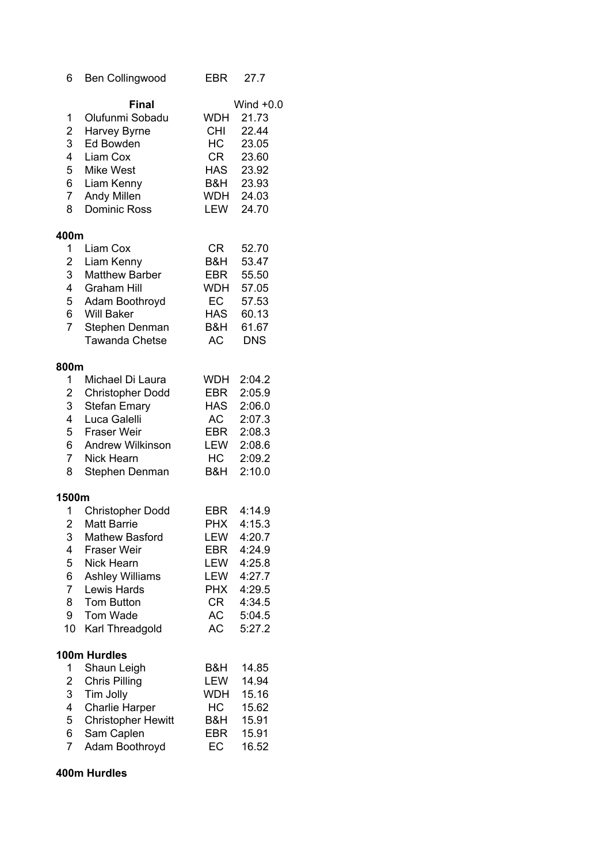| 6                                                                      | <b>Ben Collingwood</b>                                                                                                                                                                                         | <b>EBR</b>                                                                           | 27.7                                                                                             |
|------------------------------------------------------------------------|----------------------------------------------------------------------------------------------------------------------------------------------------------------------------------------------------------------|--------------------------------------------------------------------------------------|--------------------------------------------------------------------------------------------------|
| 1<br>$\overline{c}$<br>3<br>4<br>5<br>6<br>7<br>8                      | <b>Final</b><br>Olufunmi Sobadu<br>Harvey Byrne<br>Ed Bowden<br>Liam Cox<br><b>Mike West</b><br>Liam Kenny<br><b>Andy Millen</b><br><b>Dominic Ross</b>                                                        | WDH<br>CHI<br>HC .<br>CR<br><b>HAS</b><br>B&H<br>WDH<br>LEW                          | Wind $+0.0$<br>21.73<br>22.44<br>23.05<br>23.60<br>23.92<br>23.93<br>24.03<br>24.70              |
| 400m                                                                   |                                                                                                                                                                                                                |                                                                                      |                                                                                                  |
| 1<br>$\overline{2}$<br>3<br>$\overline{4}$<br>5<br>6<br>$\overline{7}$ | Liam Cox<br>Liam Kenny<br><b>Matthew Barber</b><br><b>Graham Hill</b><br>Adam Boothroyd<br><b>Will Baker</b><br>Stephen Denman<br><b>Tawanda Chetse</b>                                                        | CR<br>B&H<br>EBR<br><b>WDH</b><br>EC<br><b>HAS</b><br>B&H<br><b>AC</b>               | 52.70<br>53.47<br>55.50<br>57.05<br>57.53<br>60.13<br>61.67<br><b>DNS</b>                        |
| 800m                                                                   |                                                                                                                                                                                                                |                                                                                      |                                                                                                  |
| 1<br>$\overline{2}$<br>3<br>4<br>5<br>6<br>$\overline{7}$<br>8         | Michael Di Laura<br><b>Christopher Dodd</b><br><b>Stefan Emary</b><br>Luca Galelli<br><b>Fraser Weir</b><br><b>Andrew Wilkinson</b><br><b>Nick Hearn</b><br>Stephen Denman                                     | WDH<br>EBR<br><b>HAS</b><br>AC<br>EBR<br>LEW<br>HC —<br>B&H                          | 2:04.2<br>2:05.9<br>2:06.0<br>2:07.3<br>2:08.3<br>2:08.6<br>2:09.2<br>2:10.0                     |
| 1500m                                                                  |                                                                                                                                                                                                                |                                                                                      |                                                                                                  |
| 1<br>2<br>3<br>4<br>5<br>6<br>$\overline{7}$<br>8<br>9<br>10           | <b>Christopher Dodd</b><br><b>Matt Barrie</b><br><b>Mathew Basford</b><br><b>Fraser Weir</b><br><b>Nick Hearn</b><br><b>Ashley Williams</b><br>Lewis Hards<br><b>Tom Button</b><br>Tom Wade<br>Karl Threadgold | EBR<br><b>PHX</b><br>LEW<br><b>EBR</b><br>LEW<br>LEW<br><b>PHX</b><br>CR<br>AC<br>AC | 4:14.9<br>4:15.3<br>4:20.7<br>4:24.9<br>4:25.8<br>4:27.7<br>4:29.5<br>4:34.5<br>5:04.5<br>5:27.2 |
|                                                                        | 100m Hurdles                                                                                                                                                                                                   |                                                                                      |                                                                                                  |
| 1<br>2<br>3<br>4<br>5<br>6<br>$\overline{7}$                           | Shaun Leigh<br><b>Chris Pilling</b><br>Tim Jolly<br><b>Charlie Harper</b><br><b>Christopher Hewitt</b><br>Sam Caplen<br>Adam Boothroyd                                                                         | B&H<br>LEW<br><b>WDH</b><br>HC<br>B&H<br>EBR<br>EC                                   | 14.85<br>14.94<br>15.16<br>15.62<br>15.91<br>15.91<br>16.52                                      |

## **400m Hurdles**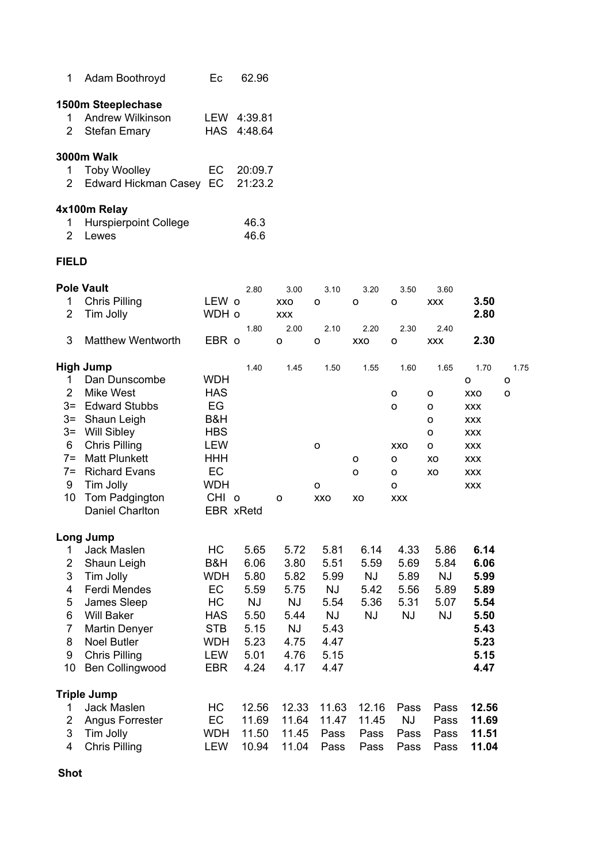| 1                         | Adam Boothroyd                  | Еc    | 62.96       |            |  |  |  |  |  |  |
|---------------------------|---------------------------------|-------|-------------|------------|--|--|--|--|--|--|
| 1500m Steeplechase        |                                 |       |             |            |  |  |  |  |  |  |
| 1.                        | Andrew Wilkinson                |       | LEW 4:39.81 |            |  |  |  |  |  |  |
| 2                         | Stefan Emary                    |       | HAS 4:48.64 |            |  |  |  |  |  |  |
|                           | <b>3000m Walk</b>               |       |             |            |  |  |  |  |  |  |
| 1                         | <b>Toby Woolley</b>             |       | EC 20:09.7  |            |  |  |  |  |  |  |
| 2                         | Edward Hickman Casey EC 21:23.2 |       |             |            |  |  |  |  |  |  |
|                           | 4x100m Relay                    |       |             |            |  |  |  |  |  |  |
| 1.                        | <b>Hurspierpoint College</b>    |       | 46.3        |            |  |  |  |  |  |  |
| 2                         | Lewes                           |       | 46.6        |            |  |  |  |  |  |  |
| <b>FIELD</b>              |                                 |       |             |            |  |  |  |  |  |  |
|                           | <b>Pole Vault</b>               |       | 2.80        | 3.00       |  |  |  |  |  |  |
| 1.                        | <b>Chris Pilling</b>            | LEW o |             | XXO        |  |  |  |  |  |  |
| $\mathbf{2}^{\mathsf{I}}$ | Tim Jolly                       | WDH o |             | <b>XXX</b> |  |  |  |  |  |  |
|                           |                                 |       | 1.80        | 2.00       |  |  |  |  |  |  |
| 3                         | <b>Matthew Wentworth</b>        | EBR o |             | O          |  |  |  |  |  |  |
|                           | High Jump                       |       | 1.40        | 1.45       |  |  |  |  |  |  |

|                         | <b>Pole Vault</b>        |            | 2.80      | 3.00         | 3.10        | 3.20       | 3.50         | 3.60         |            |         |
|-------------------------|--------------------------|------------|-----------|--------------|-------------|------------|--------------|--------------|------------|---------|
| 1                       | <b>Chris Pilling</b>     | LEW o      |           | XXO          | $\circ$     | $\circ$    | $\circ$      | <b>XXX</b>   | 3.50       |         |
| $\overline{2}$          | Tim Jolly                | WDH o      |           | <b>XXX</b>   |             |            |              |              | 2.80       |         |
|                         |                          |            | 1.80      | 2.00         | 2.10        | 2.20       | 2.30         | 2.40         |            |         |
| 3                       | <b>Matthew Wentworth</b> | EBR o      |           | $\mathsf O$  | $\circ$     | <b>XXO</b> | $\mathsf{o}$ | <b>XXX</b>   | 2.30       |         |
|                         | High Jump                |            | 1.40      | 1.45         | 1.50        | 1.55       | 1.60         | 1.65         | 1.70       | 1.75    |
| 1                       | Dan Dunscombe            | <b>WDH</b> |           |              |             |            |              |              | $\circ$    | $\circ$ |
| $\overline{2}$          | <b>Mike West</b>         | <b>HAS</b> |           |              |             |            | $\circ$      | o            | <b>XXO</b> | $\circ$ |
| $3=$                    | <b>Edward Stubbs</b>     | EG         |           |              |             |            | $\circ$      | O            | <b>XXX</b> |         |
| $3=$                    | Shaun Leigh              | B&H        |           |              |             |            |              | $\mathsf{o}$ | <b>XXX</b> |         |
| $3=$                    | <b>Will Sibley</b>       | <b>HBS</b> |           |              |             |            |              | $\mathsf{o}$ | <b>XXX</b> |         |
| $\,6$                   | <b>Chris Pilling</b>     | <b>LEW</b> |           |              | $\mathsf O$ |            | XXO          | $\mathsf{o}$ | <b>XXX</b> |         |
| $7 =$                   | <b>Matt Plunkett</b>     | HHH        |           |              |             | o          | o            | XO           | <b>XXX</b> |         |
| $7 =$                   | <b>Richard Evans</b>     | EC         |           |              |             | $\circ$    | $\mathsf{o}$ | XO           | <b>XXX</b> |         |
| 9                       | Tim Jolly                | <b>WDH</b> |           |              | о           |            | o            |              | <b>XXX</b> |         |
| 10                      | Tom Padgington           | CHI 0      |           | $\mathsf{o}$ | <b>XXO</b>  | XO         | <b>XXX</b>   |              |            |         |
|                         | <b>Daniel Charlton</b>   | EBR xRetd  |           |              |             |            |              |              |            |         |
|                         | Long Jump                |            |           |              |             |            |              |              |            |         |
| 1                       | Jack Maslen              | HC         | 5.65      | 5.72         | 5.81        | 6.14       | 4.33         | 5.86         | 6.14       |         |
| $\overline{\mathbf{c}}$ | Shaun Leigh              | B&H        | 6.06      | 3.80         | 5.51        | 5.59       | 5.69         | 5.84         | 6.06       |         |
| 3                       | Tim Jolly                | <b>WDH</b> | 5.80      | 5.82         | 5.99        | <b>NJ</b>  | 5.89         | <b>NJ</b>    | 5.99       |         |
| $\overline{\mathbf{4}}$ | Ferdi Mendes             | EC         | 5.59      | 5.75         | <b>NJ</b>   | 5.42       | 5.56         | 5.89         | 5.89       |         |
| 5                       | James Sleep              | HC         | <b>NJ</b> | <b>NJ</b>    | 5.54        | 5.36       | 5.31         | 5.07         | 5.54       |         |
| 6                       | <b>Will Baker</b>        | <b>HAS</b> | 5.50      | 5.44         | <b>NJ</b>   | <b>NJ</b>  | <b>NJ</b>    | <b>NJ</b>    | 5.50       |         |
| $\overline{7}$          | <b>Martin Denyer</b>     | <b>STB</b> | 5.15      | <b>NJ</b>    | 5.43        |            |              |              | 5.43       |         |
| 8                       | <b>Noel Butler</b>       | <b>WDH</b> | 5.23      | 4.75         | 4.47        |            |              |              | 5.23       |         |
| $\boldsymbol{9}$        | <b>Chris Pilling</b>     | <b>LEW</b> | 5.01      | 4.76         | 5.15        |            |              |              | 5.15       |         |
| 10                      | Ben Collingwood          | <b>EBR</b> | 4.24      | 4.17         | 4.47        |            |              |              | 4.47       |         |
|                         | <b>Triple Jump</b>       |            |           |              |             |            |              |              |            |         |
| 1                       | <b>Jack Maslen</b>       | HC         | 12.56     | 12.33        | 11.63       | 12.16      | Pass         | Pass         | 12.56      |         |
| $\overline{c}$          | Angus Forrester          | EC         | 11.69     | 11.64        | 11.47       | 11.45      | <b>NJ</b>    | Pass         | 11.69      |         |
| 3                       | Tim Jolly                | <b>WDH</b> | 11.50     | 11.45        | Pass        | Pass       | Pass         | Pass         | 11.51      |         |
| 4                       | <b>Chris Pilling</b>     | <b>LEW</b> | 10.94     | 11.04        | Pass        | Pass       | Pass         | Pass         | 11.04      |         |

**Shot**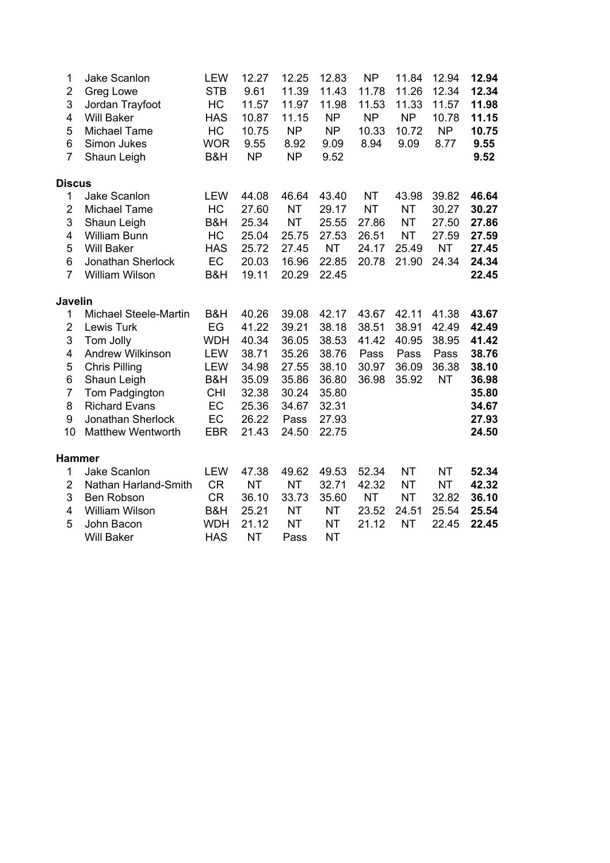| 1                       | Jake Scanlon             | <b>LEW</b> | 12.27     | 12.25     | 12.83     | <b>NP</b> | 11.84     | 12.94     | 12.94 |
|-------------------------|--------------------------|------------|-----------|-----------|-----------|-----------|-----------|-----------|-------|
| $\overline{2}$          | Greg Lowe                | <b>STB</b> | 9.61      | 11.39     | 11.43     | 11.78     | 11.26     | 12.34     | 12.34 |
| $\sqrt{3}$              | Jordan Trayfoot          | HC         | 11.57     | 11.97     | 11.98     | 11.53     | 11.33     | 11.57     | 11.98 |
| $\overline{\mathbf{4}}$ | <b>Will Baker</b>        | <b>HAS</b> | 10.87     | 11.15     | <b>NP</b> | <b>NP</b> | NP        | 10.78     | 11.15 |
| 5                       | Michael Tame             | HC         | 10.75     | <b>NP</b> | NP        | 10.33     | 10.72     | <b>NP</b> | 10.75 |
| $6\phantom{1}$          | Simon Jukes              | <b>WOR</b> | 9.55      | 8.92      | 9.09      | 8.94      | 9.09      | 8.77      | 9.55  |
| $\overline{7}$          | Shaun Leigh              | B&H        | <b>NP</b> | NP        | 9.52      |           |           |           | 9.52  |
| <b>Discus</b>           |                          |            |           |           |           |           |           |           |       |
| $\mathbf{1}$            | Jake Scanlon             | <b>LEW</b> | 44.08     | 46.64     | 43.40     | <b>NT</b> | 43.98     | 39.82     | 46.64 |
| $\overline{2}$          | Michael Tame             | HC         | 27.60     | <b>NT</b> | 29.17     | <b>NT</b> | <b>NT</b> | 30.27     | 30.27 |
| 3                       | Shaun Leigh              | B&H        | 25.34     | <b>NT</b> | 25.55     | 27.86     | <b>NT</b> | 27.50     | 27.86 |
| $\overline{\mathbf{4}}$ | <b>William Bunn</b>      | HC         | 25.04     | 25.75     | 27.53     | 26.51     | <b>NT</b> | 27.59     | 27.59 |
| $\sqrt{5}$              | <b>Will Baker</b>        | <b>HAS</b> | 25.72     | 27.45     | <b>NT</b> | 24.17     | 25.49     | <b>NT</b> | 27.45 |
| $\,6$                   | Jonathan Sherlock        | EC         | 20.03     | 16.96     | 22.85     | 20.78     | 21.90     | 24.34     | 24.34 |
| $\overline{7}$          | <b>William Wilson</b>    | B&H        | 19.11     | 20.29     | 22.45     |           |           |           | 22.45 |
| Javelin                 |                          |            |           |           |           |           |           |           |       |
| 1                       | Michael Steele-Martin    | B&H        | 40.26     | 39.08     | 42.17     | 43.67     | 42.11     | 41.38     | 43.67 |
| $\overline{2}$          | Lewis Turk               | EG         | 41.22     | 39.21     | 38.18     | 38.51     | 38.91     | 42.49     | 42.49 |
| 3                       | Tom Jolly                | <b>WDH</b> | 40.34     | 36.05     | 38.53     | 41.42     | 40.95     | 38.95     | 41.42 |
| $\overline{\mathbf{4}}$ | Andrew Wilkinson         | <b>LEW</b> | 38.71     | 35.26     | 38.76     | Pass      | Pass      | Pass      | 38.76 |
| 5                       | <b>Chris Pilling</b>     | <b>LEW</b> | 34.98     | 27.55     | 38.10     | 30.97     | 36.09     | 36.38     | 38.10 |
| $\,6$                   | Shaun Leigh              | B&H        | 35.09     | 35.86     | 36.80     | 36.98     | 35.92     | <b>NT</b> | 36.98 |
| $\overline{7}$          | Tom Padgington           | <b>CHI</b> | 32.38     | 30.24     | 35.80     |           |           |           | 35.80 |
| $\bf 8$                 | <b>Richard Evans</b>     | EC         | 25.36     | 34.67     | 32.31     |           |           |           | 34.67 |
| 9                       | Jonathan Sherlock        | EC         | 26.22     | Pass      | 27.93     |           |           |           | 27.93 |
| 10                      | <b>Matthew Wentworth</b> | <b>EBR</b> | 21.43     | 24.50     | 22.75     |           |           |           | 24.50 |
| <b>Hammer</b>           |                          |            |           |           |           |           |           |           |       |
| 1                       | Jake Scanlon             | <b>LEW</b> | 47.38     | 49.62     | 49.53     | 52.34     | <b>NT</b> | <b>NT</b> | 52.34 |
| $\overline{2}$          | Nathan Harland-Smith     | <b>CR</b>  | <b>NT</b> | <b>NT</b> | 32.71     | 42.32     | <b>NT</b> | <b>NT</b> | 42.32 |
| 3                       | Ben Robson               | <b>CR</b>  | 36.10     | 33.73     | 35.60     | <b>NT</b> | <b>NT</b> | 32.82     | 36.10 |
| $\overline{\mathbf{4}}$ | <b>William Wilson</b>    | B&H        | 25.21     | <b>NT</b> | <b>NT</b> | 23.52     | 24.51     | 25.54     | 25.54 |
| 5                       | John Bacon               | <b>WDH</b> | 21.12     | <b>NT</b> | <b>NT</b> | 21.12     | <b>NT</b> | 22.45     | 22.45 |
|                         | <b>Will Baker</b>        | <b>HAS</b> | <b>NT</b> | Pass      | <b>NT</b> |           |           |           |       |
|                         |                          |            |           |           |           |           |           |           |       |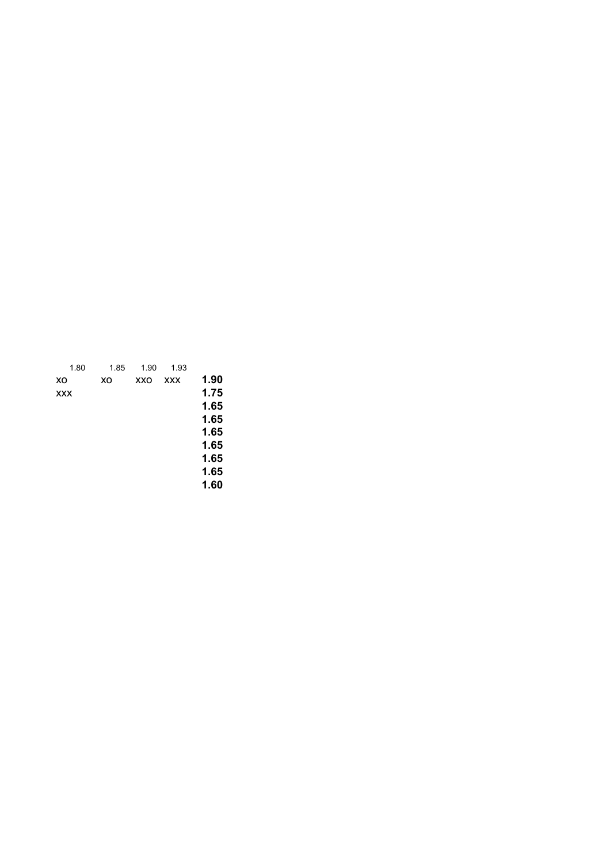| 1.80       | 1.85 | 1.90 | 1.93       |      |
|------------|------|------|------------|------|
| XO         | XO   | XXO  | <b>XXX</b> | 1.90 |
| <b>XXX</b> |      |      |            | 1.75 |
|            |      |      |            | 1.65 |
|            |      |      |            | 1.65 |
|            |      |      |            | 1.65 |
|            |      |      |            | 1.65 |
|            |      |      |            | 1.65 |
|            |      |      |            | 1.65 |
|            |      |      |            | 1.60 |
|            |      |      |            |      |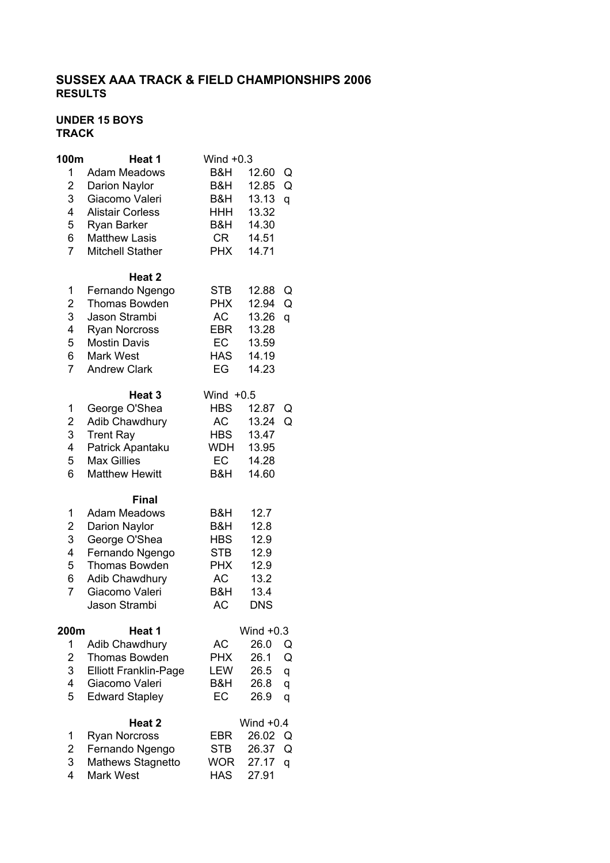### **UNDER 15 BOYS TRACK**

| 100m                    | Heat 1                       | Wind $+0.3$ |             |   |
|-------------------------|------------------------------|-------------|-------------|---|
| 1                       | <b>Adam Meadows</b>          | B&H         | 12.60       | Q |
| 2                       | Darion Naylor                | B&H         | 12.85       | Q |
| 3                       | Giacomo Valeri               | B&H         | 13.13       | q |
| 4                       | <b>Alistair Corless</b>      | HHH         | 13.32       |   |
| 5                       | Ryan Barker                  | B&H         | 14.30       |   |
| 6                       | <b>Matthew Lasis</b>         | CR          | 14.51       |   |
| $\overline{7}$          | <b>Mitchell Stather</b>      | <b>PHX</b>  | 14.71       |   |
|                         | Heat <sub>2</sub>            |             |             |   |
| 1                       | Fernando Ngengo              | <b>STB</b>  | 12.88       | Q |
| 2                       | <b>Thomas Bowden</b>         | <b>PHX</b>  | 12.94       | Q |
| 3                       | Jason Strambi                | AC          | 13.26       | q |
| 4                       | <b>Ryan Norcross</b>         | <b>EBR</b>  | 13.28       |   |
| 5                       | <b>Mostin Davis</b>          | EC          | 13.59       |   |
| 6                       | <b>Mark West</b>             | <b>HAS</b>  | 14.19       |   |
| $\overline{7}$          | <b>Andrew Clark</b>          | EG          | 14.23       |   |
|                         | Heat 3                       | Wind $+0.5$ |             |   |
| 1                       | George O'Shea                | <b>HBS</b>  | 12.87       | Q |
| 2                       | Adib Chawdhury               | AC          | 13.24       | Q |
| 3                       | <b>Trent Ray</b>             | <b>HBS</b>  | 13.47       |   |
| 4                       | Patrick Apantaku             | WDH         | 13.95       |   |
| 5                       | <b>Max Gillies</b>           | EC          | 14.28       |   |
| 6                       | <b>Matthew Hewitt</b>        | B&H         | 14.60       |   |
|                         | Final                        |             |             |   |
| 1                       | <b>Adam Meadows</b>          | B&H         | 12.7        |   |
| $\overline{\mathbf{c}}$ | Darion Naylor                | B&H         | 12.8        |   |
| 3                       | George O'Shea                | <b>HBS</b>  | 12.9        |   |
| 4                       | Fernando Ngengo              | <b>STB</b>  | 12.9        |   |
| 5                       | Thomas Bowden                | <b>PHX</b>  | 12.9        |   |
| 6                       | Adib Chawdhury               | AC          | 13.2        |   |
| 7                       | Giacomo Valeri               | B&H         | 13.4        |   |
|                         | Jason Strambi                | AC          | <b>DNS</b>  |   |
| 200m                    | Heat 1                       |             | Wind $+0.3$ |   |
| 1.                      | <b>Adib Chawdhury</b>        | <b>AC</b>   | 26.0        | Q |
| 2                       | Thomas Bowden                | <b>PHX</b>  | 26.1        | Q |
| 3                       | <b>Elliott Franklin-Page</b> | LEW         | 26.5        | q |
| 4                       | Giacomo Valeri               | B&H         | 26.8        | q |
| 5                       | <b>Edward Stapley</b>        | EC          | 26.9        | q |
|                         | Heat <sub>2</sub>            |             | Wind $+0.4$ |   |
| 1                       | <b>Ryan Norcross</b>         | EBR         | 26.02       | Q |
| $\overline{\mathbf{c}}$ | Fernando Ngengo              | <b>STB</b>  | 26.37       | Q |
| 3                       | Mathews Stagnetto            | <b>WOR</b>  | 27.17       | q |
| 4                       | Mark West                    | <b>HAS</b>  | 27.91       |   |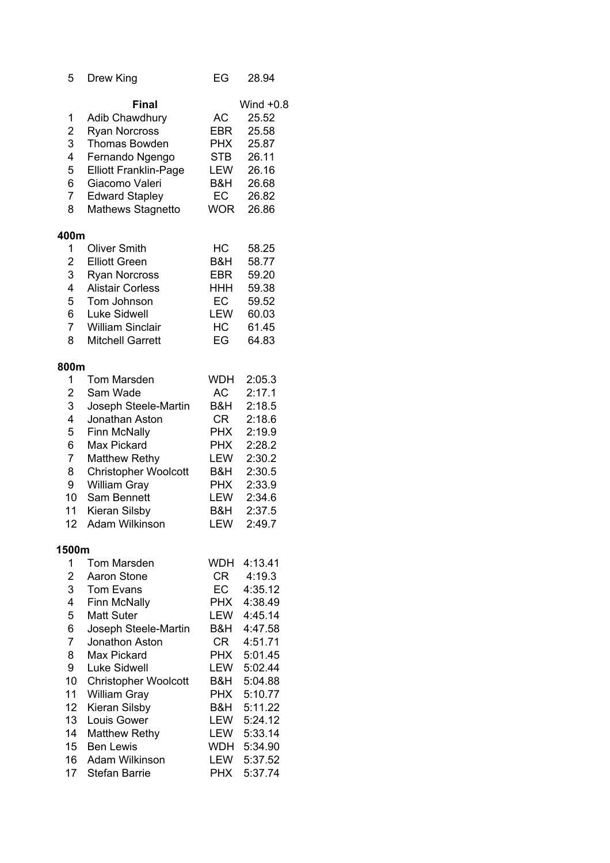| 5                                    | Drew King                                                                                                                                                                                                | EG                                                               | 28.94                                                                               |  |
|--------------------------------------|----------------------------------------------------------------------------------------------------------------------------------------------------------------------------------------------------------|------------------------------------------------------------------|-------------------------------------------------------------------------------------|--|
| 1<br>2<br>3<br>4<br>5<br>6<br>7<br>8 | <b>Final</b><br>Adib Chawdhury<br><b>Ryan Norcross</b><br><b>Thomas Bowden</b><br>Fernando Ngengo<br><b>Elliott Franklin-Page</b><br>Giacomo Valeri<br><b>Edward Stapley</b><br><b>Mathews Stagnetto</b> | <b>AC</b><br>EBR<br>PHX<br>STB<br>LEW<br>B&H<br>EC<br><b>WOR</b> | Wind $+0.8$<br>25.52<br>25.58<br>25.87<br>26.11<br>26.16<br>26.68<br>26.82<br>26.86 |  |
| 400m                                 |                                                                                                                                                                                                          |                                                                  |                                                                                     |  |
| 1                                    | <b>Oliver Smith</b>                                                                                                                                                                                      | НC                                                               | 58.25                                                                               |  |
| 2<br>3                               | <b>Elliott Green</b><br>Ryan Norcross                                                                                                                                                                    | B&H<br>EBR                                                       | 58.77<br>59.20                                                                      |  |
| 4                                    | <b>Alistair Corless</b>                                                                                                                                                                                  | <b>HHH</b>                                                       | 59.38                                                                               |  |
| 5                                    | Tom Johnson                                                                                                                                                                                              | EC                                                               | 59.52                                                                               |  |
| 6                                    | Luke Sidwell                                                                                                                                                                                             | LEW                                                              | 60.03                                                                               |  |
| $\overline{7}$                       | <b>William Sinclair</b>                                                                                                                                                                                  | HC                                                               | 61.45                                                                               |  |
| 8                                    | <b>Mitchell Garrett</b>                                                                                                                                                                                  | EG                                                               | 64.83                                                                               |  |
| 800m                                 |                                                                                                                                                                                                          |                                                                  |                                                                                     |  |
| 1                                    | Tom Marsden                                                                                                                                                                                              | WDH                                                              | 2:05.3                                                                              |  |
| 2                                    | Sam Wade                                                                                                                                                                                                 | AC                                                               | 2:17.1                                                                              |  |
| 3                                    | Joseph Steele-Martin                                                                                                                                                                                     | B&H                                                              | 2:18.5                                                                              |  |
| 4                                    | Jonathan Aston                                                                                                                                                                                           | CR                                                               | 2:18.6                                                                              |  |
| 5                                    | <b>Finn McNally</b>                                                                                                                                                                                      | <b>PHX</b>                                                       | 2:19.9                                                                              |  |
| 6                                    | Max Pickard                                                                                                                                                                                              | <b>PHX</b>                                                       | 2:28.2                                                                              |  |
| 7                                    | <b>Matthew Rethy</b>                                                                                                                                                                                     | LEW                                                              | 2:30.2                                                                              |  |
| 8                                    | <b>Christopher Woolcott</b>                                                                                                                                                                              | B&H                                                              | 2:30.5                                                                              |  |
| 9<br>10                              | William Gray<br>Sam Bennett                                                                                                                                                                              | <b>PHX</b><br>LEW                                                | 2:33.9<br>2:34.6                                                                    |  |
| 11                                   | Kieran Silsby                                                                                                                                                                                            | B&H                                                              | 2:37.5                                                                              |  |
| 12                                   | Adam Wilkinson                                                                                                                                                                                           | LEW                                                              | 2:49.7                                                                              |  |
| 1500m                                |                                                                                                                                                                                                          |                                                                  |                                                                                     |  |
| 1                                    | <b>Tom Marsden</b>                                                                                                                                                                                       | WDH                                                              | 4:13.41                                                                             |  |
| $\overline{2}$                       | Aaron Stone                                                                                                                                                                                              |                                                                  | CR 4:19.3                                                                           |  |
| 3                                    | <b>Tom Evans</b>                                                                                                                                                                                         | EC                                                               | 4:35.12                                                                             |  |
| 4                                    | <b>Finn McNally</b>                                                                                                                                                                                      | <b>PHX</b>                                                       | 4:38.49                                                                             |  |
| 5                                    | <b>Matt Suter</b>                                                                                                                                                                                        | LEW                                                              | 4:45.14                                                                             |  |
| 6                                    | Joseph Steele-Martin                                                                                                                                                                                     | B&H                                                              | 4:47.58                                                                             |  |
| 7                                    | Jonathon Aston                                                                                                                                                                                           |                                                                  | CR  4:51.71                                                                         |  |
| 8                                    | Max Pickard                                                                                                                                                                                              |                                                                  | PHX 5:01.45                                                                         |  |
| 9                                    | Luke Sidwell                                                                                                                                                                                             |                                                                  | LEW 5:02.44                                                                         |  |
| 10<br>11                             | <b>Christopher Woolcott</b>                                                                                                                                                                              | <b>PHX</b>                                                       | B&H 5:04.88                                                                         |  |
| 12                                   | William Gray<br>Kieran Silsby                                                                                                                                                                            | B&H                                                              | 5:10.77<br>5:11.22                                                                  |  |
| 13                                   | Louis Gower                                                                                                                                                                                              |                                                                  | LEW 5:24.12                                                                         |  |
| 14                                   | <b>Matthew Rethy</b>                                                                                                                                                                                     |                                                                  | LEW 5:33.14                                                                         |  |
| 15 <sup>15</sup>                     | <b>Ben Lewis</b>                                                                                                                                                                                         |                                                                  | WDH 5:34.90                                                                         |  |
|                                      | 16 Adam Wilkinson                                                                                                                                                                                        |                                                                  | LEW 5:37.52                                                                         |  |
|                                      | 17 Stefan Barrie                                                                                                                                                                                         | <b>PHX</b>                                                       | 5:37.74                                                                             |  |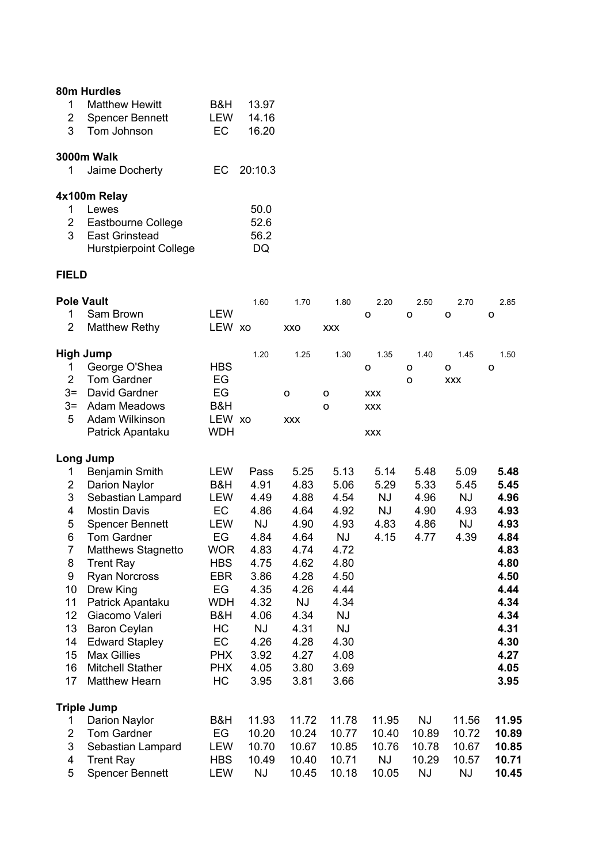| 80m Hurdles |                               |     |              |  |  |  |  |  |  |
|-------------|-------------------------------|-----|--------------|--|--|--|--|--|--|
| 1           | <b>Matthew Hewitt</b>         | B&H | 13.97        |  |  |  |  |  |  |
| 2           | <b>Spencer Bennett</b>        | LEW | 14.16        |  |  |  |  |  |  |
| 3           | Tom Johnson                   | ЕC  | 16.20        |  |  |  |  |  |  |
| 3000m Walk  |                               |     |              |  |  |  |  |  |  |
| 1           | Jaime Docherty                |     | EC $20:10.3$ |  |  |  |  |  |  |
|             | 4x100m Relay                  |     |              |  |  |  |  |  |  |
| 1           | Lewes                         |     | 50.0         |  |  |  |  |  |  |
| 2           | Eastbourne College            |     | 52.6         |  |  |  |  |  |  |
| 3           | <b>East Grinstead</b>         |     | 56.2         |  |  |  |  |  |  |
|             | <b>Hurstpierpoint College</b> |     |              |  |  |  |  |  |  |

|                | <b>Pole Vault</b>         |            | 1.60      | 1.70        | 1.80         | 2.20       | 2.50      | 2.70       | 2.85    |
|----------------|---------------------------|------------|-----------|-------------|--------------|------------|-----------|------------|---------|
| 1              | Sam Brown                 | <b>LEW</b> |           |             |              | o          | O         | $\circ$    | o       |
| $\overline{2}$ | <b>Matthew Rethy</b>      | LEW xo     |           | XXO         | <b>XXX</b>   |            |           |            |         |
|                | <b>High Jump</b>          |            | 1.20      | 1.25        | 1.30         | 1.35       | 1.40      | 1.45       | 1.50    |
| 1              | George O'Shea             | <b>HBS</b> |           |             |              | $\circ$    | O         | O          | $\circ$ |
| $\overline{2}$ | <b>Tom Gardner</b>        | EG         |           |             |              |            | O         | <b>XXX</b> |         |
| $3=$           | David Gardner             | EG         |           | $\mathsf O$ | $\mathsf{o}$ | <b>XXX</b> |           |            |         |
| $3=$           | Adam Meadows              | B&H        |           |             | O            | <b>XXX</b> |           |            |         |
| 5              | Adam Wilkinson            | LEW xo     |           | <b>XXX</b>  |              |            |           |            |         |
|                | Patrick Apantaku          | <b>WDH</b> |           |             |              | <b>XXX</b> |           |            |         |
|                | Long Jump                 |            |           |             |              |            |           |            |         |
| 1              | Benjamin Smith            | <b>LEW</b> | Pass      | 5.25        | 5.13         | 5.14       | 5.48      | 5.09       | 5.48    |
| $\overline{c}$ | Darion Naylor             | B&H        | 4.91      | 4.83        | 5.06         | 5.29       | 5.33      | 5.45       | 5.45    |
| 3              | Sebastian Lampard         | <b>LEW</b> | 4.49      | 4.88        | 4.54         | <b>NJ</b>  | 4.96      | <b>NJ</b>  | 4.96    |
| 4              | <b>Mostin Davis</b>       | EC         | 4.86      | 4.64        | 4.92         | <b>NJ</b>  | 4.90      | 4.93       | 4.93    |
| 5              | <b>Spencer Bennett</b>    | <b>LEW</b> | <b>NJ</b> | 4.90        | 4.93         | 4.83       | 4.86      | <b>NJ</b>  | 4.93    |
| 6              | <b>Tom Gardner</b>        | EG         | 4.84      | 4.64        | <b>NJ</b>    | 4.15       | 4.77      | 4.39       | 4.84    |
| $\overline{7}$ | <b>Matthews Stagnetto</b> | <b>WOR</b> | 4.83      | 4.74        | 4.72         |            |           |            | 4.83    |
| 8              | <b>Trent Ray</b>          | <b>HBS</b> | 4.75      | 4.62        | 4.80         |            |           |            | 4.80    |
| 9              | <b>Ryan Norcross</b>      | <b>EBR</b> | 3.86      | 4.28        | 4.50         |            |           |            | 4.50    |
| 10             | Drew King                 | EG         | 4.35      | 4.26        | 4.44         |            |           |            | 4.44    |
| 11             | Patrick Apantaku          | <b>WDH</b> | 4.32      | <b>NJ</b>   | 4.34         |            |           |            | 4.34    |
| 12             | Giacomo Valeri            | B&H        | 4.06      | 4.34        | <b>NJ</b>    |            |           |            | 4.34    |
| 13             | <b>Baron Ceylan</b>       | HC         | <b>NJ</b> | 4.31        | <b>NJ</b>    |            |           |            | 4.31    |
| 14             | <b>Edward Stapley</b>     | EC         | 4.26      | 4.28        | 4.30         |            |           |            | 4.30    |
| 15             | <b>Max Gillies</b>        | <b>PHX</b> | 3.92      | 4.27        | 4.08         |            |           |            | 4.27    |
| 16             | <b>Mitchell Stather</b>   | <b>PHX</b> | 4.05      | 3.80        | 3.69         |            |           |            | 4.05    |
| 17             | <b>Matthew Hearn</b>      | HC         | 3.95      | 3.81        | 3.66         |            |           |            | 3.95    |
|                | <b>Triple Jump</b>        |            |           |             |              |            |           |            |         |
| 1              | Darion Naylor             | B&H        | 11.93     | 11.72       | 11.78        | 11.95      | <b>NJ</b> | 11.56      | 11.95   |
| $\overline{2}$ | <b>Tom Gardner</b>        | EG         | 10.20     | 10.24       | 10.77        | 10.40      | 10.89     | 10.72      | 10.89   |
| 3              | Sebastian Lampard         | <b>LEW</b> | 10.70     | 10.67       | 10.85        | 10.76      | 10.78     | 10.67      | 10.85   |
| 4              | <b>Trent Ray</b>          | <b>HBS</b> | 10.49     | 10.40       | 10.71        | <b>NJ</b>  | 10.29     | 10.57      | 10.71   |
| 5              | <b>Spencer Bennett</b>    | <b>LEW</b> | <b>NJ</b> | 10.45       | 10.18        | 10.05      | <b>NJ</b> | <b>NJ</b>  | 10.45   |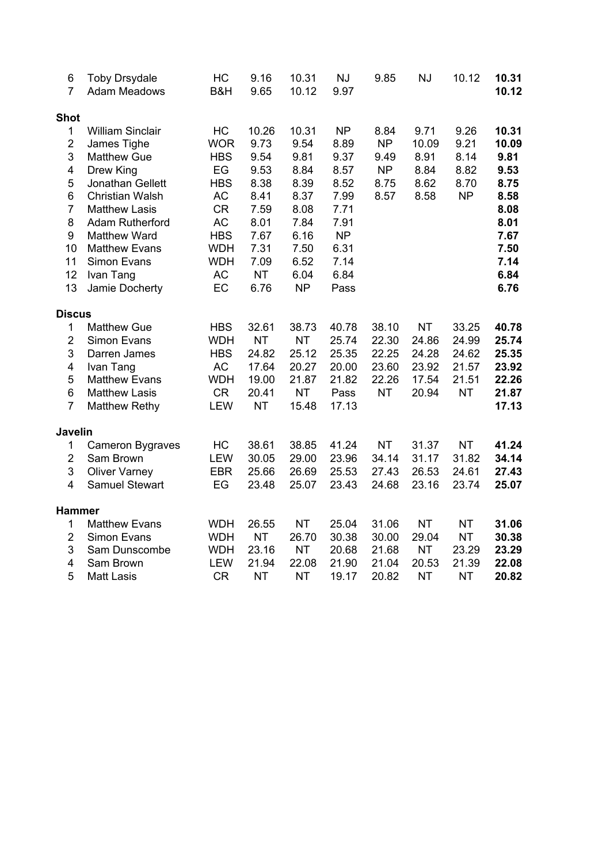| $\,6$                   | <b>Toby Drsydale</b>    | HC         | 9.16      | 10.31     | <b>NJ</b> | 9.85      | <b>NJ</b> | 10.12     | 10.31 |
|-------------------------|-------------------------|------------|-----------|-----------|-----------|-----------|-----------|-----------|-------|
| $\overline{7}$          | <b>Adam Meadows</b>     | B&H        | 9.65      | 10.12     | 9.97      |           |           |           | 10.12 |
| <b>Shot</b>             |                         |            |           |           |           |           |           |           |       |
| $\mathbf{1}$            | <b>William Sinclair</b> | <b>HC</b>  | 10.26     | 10.31     | <b>NP</b> | 8.84      | 9.71      | 9.26      | 10.31 |
| $\overline{\mathbf{c}}$ | James Tighe             | <b>WOR</b> | 9.73      | 9.54      | 8.89      | <b>NP</b> | 10.09     | 9.21      | 10.09 |
| 3                       | <b>Matthew Gue</b>      | <b>HBS</b> | 9.54      | 9.81      | 9.37      | 9.49      | 8.91      | 8.14      | 9.81  |
| 4                       | Drew King               | EG         | 9.53      | 8.84      | 8.57      | <b>NP</b> | 8.84      | 8.82      | 9.53  |
| 5                       | Jonathan Gellett        | <b>HBS</b> | 8.38      | 8.39      | 8.52      | 8.75      | 8.62      | 8.70      | 8.75  |
| 6                       | <b>Christian Walsh</b>  | AC         | 8.41      | 8.37      | 7.99      | 8.57      | 8.58      | <b>NP</b> | 8.58  |
| $\overline{7}$          | <b>Matthew Lasis</b>    | <b>CR</b>  | 7.59      | 8.08      | 7.71      |           |           |           | 8.08  |
| 8                       | Adam Rutherford         | AC         | 8.01      | 7.84      | 7.91      |           |           |           | 8.01  |
| $\boldsymbol{9}$        | <b>Matthew Ward</b>     | <b>HBS</b> | 7.67      | 6.16      | <b>NP</b> |           |           |           | 7.67  |
| 10                      | <b>Matthew Evans</b>    | <b>WDH</b> | 7.31      | 7.50      | 6.31      |           |           |           | 7.50  |
| 11                      | <b>Simon Evans</b>      | <b>WDH</b> | 7.09      | 6.52      | 7.14      |           |           |           | 7.14  |
| 12                      | Ivan Tang               | <b>AC</b>  | <b>NT</b> | 6.04      | 6.84      |           |           |           | 6.84  |
| 13                      | Jamie Docherty          | EC         | 6.76      | <b>NP</b> | Pass      |           |           |           | 6.76  |
| <b>Discus</b>           |                         |            |           |           |           |           |           |           |       |
| $\mathbf{1}$            | <b>Matthew Gue</b>      | <b>HBS</b> | 32.61     | 38.73     | 40.78     | 38.10     | <b>NT</b> | 33.25     | 40.78 |
| $\overline{2}$          | Simon Evans             | <b>WDH</b> | <b>NT</b> | <b>NT</b> | 25.74     | 22.30     | 24.86     | 24.99     | 25.74 |
| 3                       | Darren James            | <b>HBS</b> | 24.82     | 25.12     | 25.35     | 22.25     | 24.28     | 24.62     | 25.35 |
| $\overline{\mathbf{4}}$ | Ivan Tang               | <b>AC</b>  | 17.64     | 20.27     | 20.00     | 23.60     | 23.92     | 21.57     | 23.92 |
| 5                       | <b>Matthew Evans</b>    | <b>WDH</b> | 19.00     | 21.87     | 21.82     | 22.26     | 17.54     | 21.51     | 22.26 |
| $6\phantom{1}$          | <b>Matthew Lasis</b>    | <b>CR</b>  | 20.41     | <b>NT</b> | Pass      | <b>NT</b> | 20.94     | <b>NT</b> | 21.87 |
| $\overline{7}$          | <b>Matthew Rethy</b>    | LEW        | <b>NT</b> | 15.48     | 17.13     |           |           |           | 17.13 |
| Javelin                 |                         |            |           |           |           |           |           |           |       |
| $\mathbf 1$             | Cameron Bygraves        | HC         | 38.61     | 38.85     | 41.24     | <b>NT</b> | 31.37     | <b>NT</b> | 41.24 |
| $\overline{2}$          | Sam Brown               | LEW        | 30.05     | 29.00     | 23.96     | 34.14     | 31.17     | 31.82     | 34.14 |
| 3                       | <b>Oliver Varney</b>    | <b>EBR</b> | 25.66     | 26.69     | 25.53     | 27.43     | 26.53     | 24.61     | 27.43 |
| $\overline{4}$          | Samuel Stewart          | EG         | 23.48     | 25.07     | 23.43     | 24.68     | 23.16     | 23.74     | 25.07 |
| <b>Hammer</b>           |                         |            |           |           |           |           |           |           |       |
| 1                       | <b>Matthew Evans</b>    | <b>WDH</b> | 26.55     | <b>NT</b> | 25.04     | 31.06     | <b>NT</b> | <b>NT</b> | 31.06 |
| $\overline{2}$          | <b>Simon Evans</b>      | <b>WDH</b> | <b>NT</b> | 26.70     | 30.38     | 30.00     | 29.04     | <b>NT</b> | 30.38 |
| 3                       | Sam Dunscombe           | <b>WDH</b> | 23.16     | <b>NT</b> | 20.68     | 21.68     | <b>NT</b> | 23.29     | 23.29 |
| $\overline{\mathbf{4}}$ | Sam Brown               | LEW        | 21.94     | 22.08     | 21.90     | 21.04     | 20.53     | 21.39     | 22.08 |
| 5                       | <b>Matt Lasis</b>       | <b>CR</b>  | <b>NT</b> | <b>NT</b> | 19.17     | 20.82     | <b>NT</b> | <b>NT</b> | 20.82 |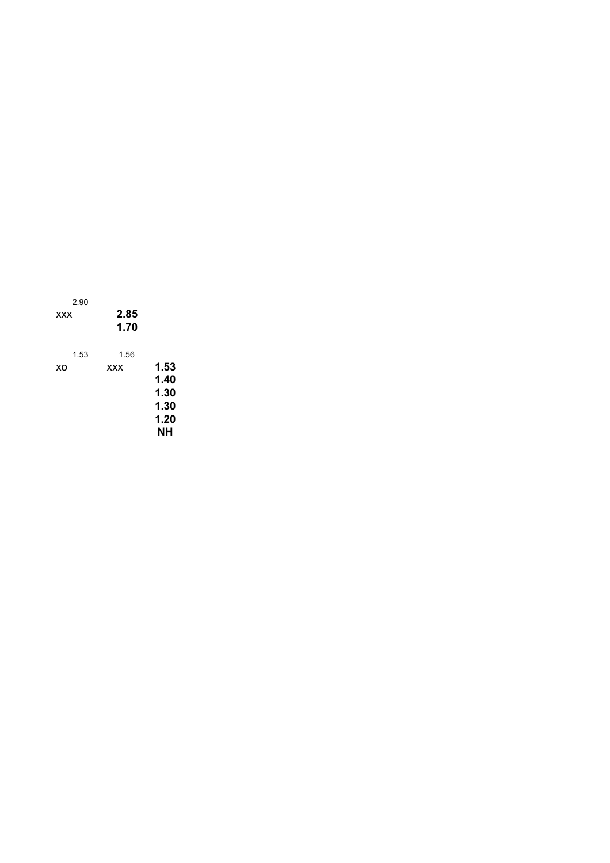| 2.90<br><b>XXX</b> | 2.85<br>1.70       |                                      |
|--------------------|--------------------|--------------------------------------|
| 1.53<br>XO         | 1.56<br><b>XXX</b> | 1.53<br>1.40<br>1.30<br>1.30<br>1.20 |
|                    |                    | NΗ                                   |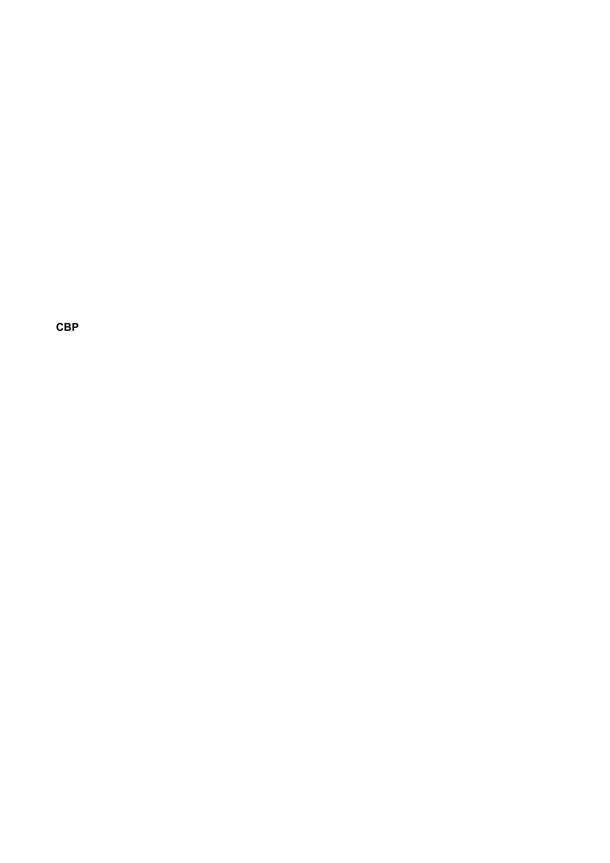**CBP**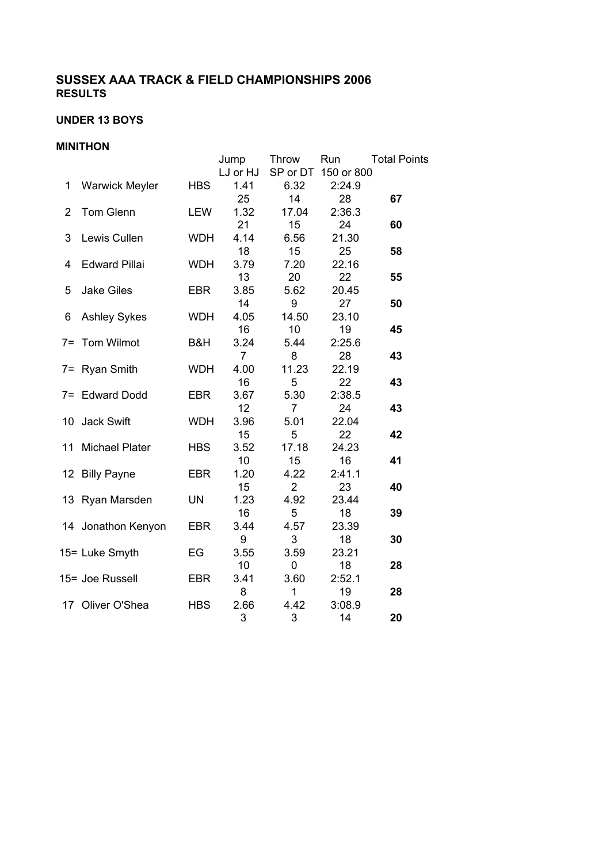### **UNDER 13 BOYS**

#### **MINITHON**

|                | <b>UITELITUI</b>      |            |                        |                |                     |                     |
|----------------|-----------------------|------------|------------------------|----------------|---------------------|---------------------|
|                |                       |            | Jump                   | Throw          | Run                 | <b>Total Points</b> |
|                |                       |            | LJ or HJ               |                | SP or DT 150 or 800 |                     |
| 1              | <b>Warwick Meyler</b> | <b>HBS</b> | 1.41                   | 6.32           | 2:24.9              |                     |
|                |                       |            | 25                     | 14             | 28                  | 67                  |
| $\overline{2}$ | <b>Tom Glenn</b>      | <b>LEW</b> | 1.32                   | 17.04          | 2:36.3              |                     |
|                |                       |            | 21                     | 15             | 24                  | 60                  |
| 3              | Lewis Cullen          | <b>WDH</b> | 4.14                   | 6.56           | 21.30               |                     |
|                |                       |            | 18                     | 15             | 25                  | 58                  |
| $\overline{4}$ | <b>Edward Pillai</b>  | <b>WDH</b> | 3.79                   | 7.20           | 22.16               |                     |
|                |                       |            | 13                     | 20             | 22                  | 55                  |
| 5              | <b>Jake Giles</b>     | <b>EBR</b> | 3.85                   | 5.62           | 20.45               |                     |
|                |                       |            | 14                     | 9              | 27                  | 50                  |
| 6              | <b>Ashley Sykes</b>   | <b>WDH</b> | 4.05<br>16             | 14.50          | 23.10               |                     |
| $7 =$          | <b>Tom Wilmot</b>     | B&H        |                        | 10<br>5.44     | 19<br>2:25.6        | 45                  |
|                |                       |            | 3.24<br>$\overline{7}$ | 8              |                     |                     |
|                |                       | <b>WDH</b> | 4.00                   | 11.23          | 28<br>22.19         | 43                  |
|                | 7= Ryan Smith         |            | 16                     | 5              | 22                  | 43                  |
|                | 7= Edward Dodd        | <b>EBR</b> | 3.67                   | 5.30           | 2:38.5              |                     |
|                |                       |            | 12                     | $\overline{7}$ | 24                  | 43                  |
| 10             | Jack Swift            | <b>WDH</b> | 3.96                   | 5.01           | 22.04               |                     |
|                |                       |            | 15                     | 5              | 22                  | 42                  |
| 11             | <b>Michael Plater</b> | <b>HBS</b> | 3.52                   | 17.18          | 24.23               |                     |
|                |                       |            | 10                     | 15             | 16                  | 41                  |
|                | 12 Billy Payne        | <b>EBR</b> | 1.20                   | 4.22           | 2:41.1              |                     |
|                |                       |            | 15                     | $\overline{2}$ | 23                  | 40                  |
| 13             | Ryan Marsden          | <b>UN</b>  | 1.23                   | 4.92           | 23.44               |                     |
|                |                       |            | 16                     | 5              | 18                  | 39                  |
|                | 14 Jonathon Kenyon    | <b>EBR</b> | 3.44                   | 4.57           | 23.39               |                     |
|                |                       |            | 9                      | 3              | 18                  | 30                  |
|                | 15= Luke Smyth        | EG         | 3.55                   | 3.59           | 23.21               |                     |
|                |                       |            | 10                     | 0              | 18                  | 28                  |
|                | 15= Joe Russell       | <b>EBR</b> | 3.41                   | 3.60           | 2:52.1              |                     |
|                |                       |            | 8                      | 1              | 19                  | 28                  |
| 17             | Oliver O'Shea         | <b>HBS</b> | 2.66                   | 4.42           | 3:08.9              |                     |
|                |                       |            | 3                      | 3              | 14                  | 20                  |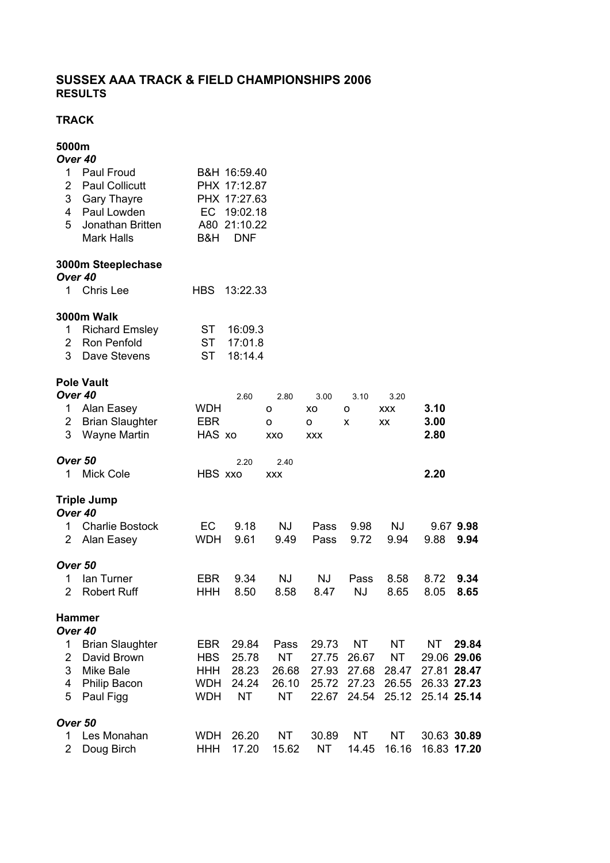## **TRACK**

| 5000m<br>Over <sub>40</sub>                              |                                                                                                              |                                                             |                                                                                           |                                                  |                                           |                                               |                                             |                                                 |                      |
|----------------------------------------------------------|--------------------------------------------------------------------------------------------------------------|-------------------------------------------------------------|-------------------------------------------------------------------------------------------|--------------------------------------------------|-------------------------------------------|-----------------------------------------------|---------------------------------------------|-------------------------------------------------|----------------------|
| 1<br>$\overline{2}$<br>3<br>5                            | Paul Froud<br>Paul Collicutt<br><b>Gary Thayre</b><br>4 Paul Lowden<br>Jonathan Britten<br><b>Mark Halls</b> | B&H                                                         | B&H 16:59.40<br>PHX 17:12.87<br>PHX 17:27.63<br>EC 19:02.18<br>A80 21:10.22<br><b>DNF</b> |                                                  |                                           |                                               |                                             |                                                 |                      |
| Over <sub>40</sub><br>$1 \quad$                          | 3000m Steeplechase<br>Chris Lee                                                                              | <b>HBS</b>                                                  | 13:22.33                                                                                  |                                                  |                                           |                                               |                                             |                                                 |                      |
| 1<br>$\overline{2}$<br>3                                 | 3000m Walk<br><b>Richard Emsley</b><br>Ron Penfold<br>Dave Stevens                                           | ST<br><b>ST</b><br><b>ST</b>                                | 16:09.3<br>17:01.8<br>18:14.4                                                             |                                                  |                                           |                                               |                                             |                                                 |                      |
| Over <sub>40</sub><br>1<br>$\overline{2}$<br>3           | <b>Pole Vault</b><br>Alan Easey<br><b>Brian Slaughter</b><br><b>Wayne Martin</b>                             | <b>WDH</b><br><b>EBR</b><br>HAS xo                          | 2.60                                                                                      | 2.80<br>o<br>o<br>XXO                            | 3.00<br>хo<br>0<br><b>XXX</b>             | 3.10<br>o<br>X                                | 3.20<br>XXX<br>XX                           | 3.10<br>3.00<br>2.80                            |                      |
| Over 50<br>1                                             | <b>Mick Cole</b>                                                                                             | HBS xxo                                                     | 2.20                                                                                      | 2.40<br><b>XXX</b>                               |                                           |                                               |                                             | 2.20                                            |                      |
| Over <sub>40</sub>                                       | Triple Jump                                                                                                  |                                                             |                                                                                           |                                                  |                                           |                                               |                                             |                                                 |                      |
| 1.<br>$\overline{2}$                                     | <b>Charlie Bostock</b><br>Alan Easey                                                                         | EC<br><b>WDH</b>                                            | 9.18<br>9.61                                                                              | NJ 1<br>9.49                                     | Pass<br>Pass                              | 9.98<br>9.72                                  | NJ 1<br>9.94                                | 9.88                                            | 9.67 9.98<br>9.94    |
| Over <sub>50</sub><br>1<br>2                             | lan Turner<br><b>Robert Ruff</b>                                                                             | EBR<br>HHH                                                  | 9.34<br>8.50                                                                              | <b>NJ</b><br>8.58                                | <b>NJ</b><br>8.47                         | Pass<br><b>NJ</b>                             | 8.58<br>8.65                                | 8.72<br>8.05                                    | 9.34<br>8.65         |
|                                                          | Hammer                                                                                                       |                                                             |                                                                                           |                                                  |                                           |                                               |                                             |                                                 |                      |
| Over <sub>40</sub><br>1<br>$\overline{2}$<br>3<br>4<br>5 | <b>Brian Slaughter</b><br>David Brown<br><b>Mike Bale</b><br>Philip Bacon<br>Paul Figg                       | EBR<br><b>HBS</b><br><b>HHH</b><br><b>WDH</b><br><b>WDH</b> | 29.84<br>25.78<br>28.23<br>24.24<br><b>NT</b>                                             | Pass<br><b>NT</b><br>26.68<br>26.10<br><b>NT</b> | 29.73<br>27.75<br>27.93<br>25.72<br>22.67 | <b>NT</b><br>26.67<br>27.68<br>27.23<br>24.54 | NT.<br><b>NT</b><br>28.47<br>26.55<br>25.12 | NT<br>27.81 28.47<br>26.33 27.23<br>25.14 25.14 | 29.84<br>29.06 29.06 |
| Over 50<br>1                                             | Les Monahan                                                                                                  | <b>WDH</b>                                                  | 26.20                                                                                     | <b>NT</b>                                        | 30.89                                     | NT.                                           | <b>NT</b>                                   | 30.63 30.89                                     |                      |
| 2                                                        | Doug Birch                                                                                                   | <b>HHH</b>                                                  | 17.20                                                                                     | 15.62                                            | <b>NT</b>                                 | 14.45                                         | 16.16                                       |                                                 | 16.83 17.20          |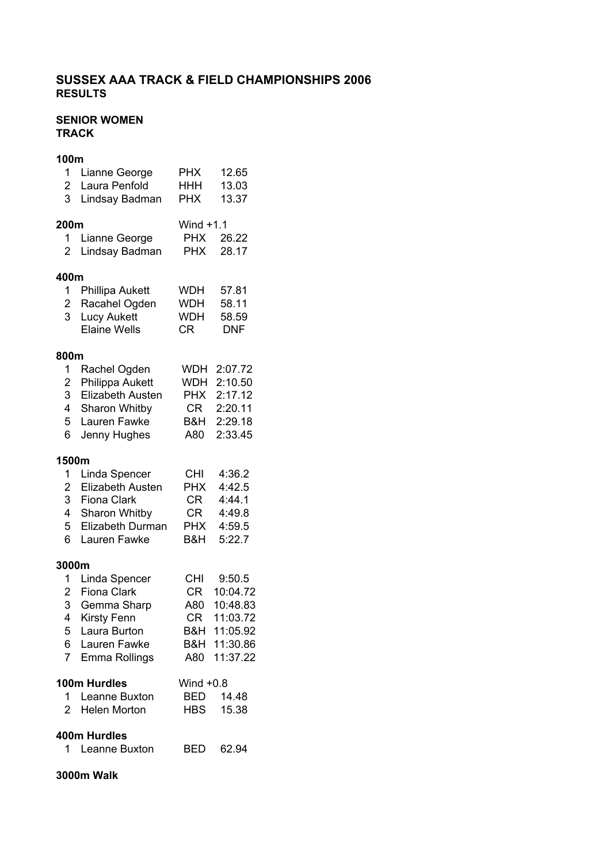## **SENIOR WOMEN TRACK**

#### **100m**

| 1<br>$\overline{2}$<br>3                                        | Lianne George<br>Laura Penfold<br>Lindsay Badman                                                                           | <b>PHX</b><br>HHH<br><b>PHX</b>                                         | 12.65<br>13.03<br>13.37                                                                    |  |  |  |  |
|-----------------------------------------------------------------|----------------------------------------------------------------------------------------------------------------------------|-------------------------------------------------------------------------|--------------------------------------------------------------------------------------------|--|--|--|--|
| 200m<br>1<br>2                                                  | Lianne George<br>Lindsay Badman                                                                                            | Wind +1.1<br><b>PHX</b><br><b>PHX</b>                                   | 26.22<br>28.17                                                                             |  |  |  |  |
| 400m<br>1<br>$\overline{2}$<br>3                                | Phillipa Aukett<br>Racahel Ogden<br><b>Lucy Aukett</b><br><b>Elaine Wells</b>                                              | <b>WDH</b><br><b>WDH</b><br><b>WDH</b><br><b>CR</b>                     | 57.81<br>58.11<br>58.59<br><b>DNF</b>                                                      |  |  |  |  |
| 800m<br>1<br>$\overline{2}$<br>3 <sup>1</sup><br>4<br>5<br>6    | Rachel Ogden<br>Philippa Aukett<br><b>Elizabeth Austen</b><br><b>Sharon Whitby</b><br>Lauren Fawke<br>Jenny Hughes         | <b>WDH</b><br><b>WDH</b><br><b>PHX</b><br>CR<br>B&H<br>A80              | 2:07.72<br>2:10.50<br>2:17.12<br>2:20.11<br>2:29.18<br>2:33.45                             |  |  |  |  |
| 1500m<br>1<br>$\overline{2}$<br>3 <sup>1</sup><br>4<br>5<br>6   | Linda Spencer<br><b>Elizabeth Austen</b><br><b>Fiona Clark</b><br><b>Sharon Whitby</b><br>Elizabeth Durman<br>Lauren Fawke | <b>CHI</b><br><b>PHX</b><br><b>CR</b><br><b>CR</b><br><b>PHX</b><br>B&H | 4:36.2<br>4:42.5<br>4:44.1<br>4:49.8<br>4:59.5<br>5:22.7                                   |  |  |  |  |
| 3000m<br>1<br>$\overline{2}$<br>3<br>4<br>5<br>6<br>$7^{\circ}$ | Linda Spencer<br><b>Fiona Clark</b><br>Gemma Sharp<br><b>Kirsty Fenn</b><br>Laura Burton<br>Lauren Fawke<br>Emma Rollings  | <b>CHI</b><br>CR<br>A80<br><b>CR</b>                                    | 9:50.5<br>10:04.72<br>10:48.83<br>11:03.72<br>B&H 11:05.92<br>B&H 11:30.86<br>A80 11:37.22 |  |  |  |  |
| 1.                                                              | 100m Hurdles<br>Leanne Buxton<br>2 Helen Morton                                                                            | Wind $+0.8$<br><b>HBS</b>                                               | BED 14.48<br>15.38                                                                         |  |  |  |  |
| 1                                                               | 400m Hurdles<br>BED<br>Leanne Buxton<br>62.94                                                                              |                                                                         |                                                                                            |  |  |  |  |

## **3000m Walk**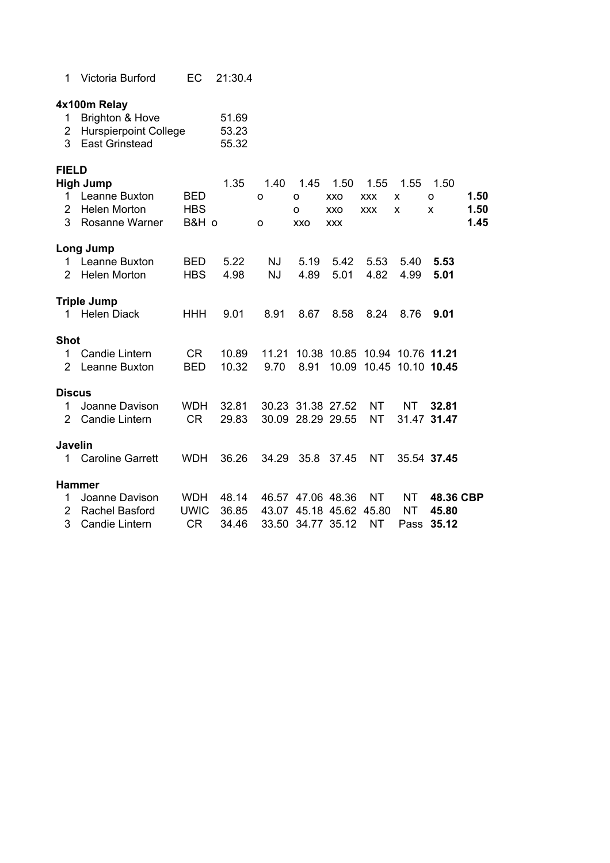| 1                                        | Victoria Burford                                                                         | EC                                     | 21:30.4                 |                        |                             |                                                       |                                  |                         |                             |                      |
|------------------------------------------|------------------------------------------------------------------------------------------|----------------------------------------|-------------------------|------------------------|-----------------------------|-------------------------------------------------------|----------------------------------|-------------------------|-----------------------------|----------------------|
| 1<br>$\overline{2}$<br>3                 | 4x100m Relay<br>Brighton & Hove<br><b>Hurspierpoint College</b><br><b>East Grinstead</b> |                                        | 51.69<br>53.23<br>55.32 |                        |                             |                                                       |                                  |                         |                             |                      |
| <b>FIELD</b><br>1<br>$\overline{2}$<br>3 | <b>High Jump</b><br>Leanne Buxton<br><b>Helen Morton</b><br>Rosanne Warner               | <b>BED</b><br><b>HBS</b><br>B&H o      | 1.35                    | 1.40<br>o<br>o         | 1.45<br>0<br>$\circ$<br>XXO | 1.50<br>XXO<br>XXO<br><b>XXX</b>                      | 1.55<br><b>XXX</b><br><b>XXX</b> | 1.55<br>x<br>X          | 1.50<br>o<br>$\mathsf{x}$   | 1.50<br>1.50<br>1.45 |
| $\overline{2}$                           | Long Jump<br>1 Leanne Buxton<br><b>Helen Morton</b>                                      | <b>BED</b><br><b>HBS</b>               | 5.22<br>4.98            | <b>NJ</b><br><b>NJ</b> | 5.19<br>4.89                | 5.42<br>5.01                                          | 5.53<br>4.82                     | 5.40<br>4.99            | 5.53<br>5.01                |                      |
|                                          | <b>Triple Jump</b><br>1 Helen Diack                                                      | HHH                                    | 9.01                    | 8.91                   | 8.67                        | 8.58                                                  | 8.24                             | 8.76                    | 9.01                        |                      |
| <b>Shot</b><br>1<br>2                    | <b>Candie Lintern</b><br>Leanne Buxton                                                   | <b>CR</b><br><b>BED</b>                | 10.89<br>10.32          | 11.21<br>9.70          | 8.91                        | 10.38 10.85 10.94 10.76 11.21                         |                                  | 10.09 10.45 10.10 10.45 |                             |                      |
| <b>Discus</b><br>1.<br>$\overline{2}$    | Joanne Davison<br><b>Candie Lintern</b>                                                  | <b>WDH</b><br>CR                       | 32.81<br>29.83          |                        |                             | 30.23 31.38 27.52<br>30.09 28.29 29.55                | NT<br><b>NT</b>                  | NT                      | 32.81<br>31.47 31.47        |                      |
| Javelin<br>$\mathbf 1$                   | <b>Caroline Garrett</b>                                                                  | <b>WDH</b>                             | 36.26                   | 34.29                  | 35.8                        | 37.45                                                 | <b>NT</b>                        |                         | 35.54 37.45                 |                      |
| 1<br>$\overline{2}$<br>3                 | <b>Hammer</b><br>Joanne Davison<br>Rachel Basford<br><b>Candie Lintern</b>               | <b>WDH</b><br><b>UWIC</b><br><b>CR</b> | 48.14<br>36.85<br>34.46 | 43.07<br>33.50         |                             | 46.57 47.06 48.36<br>45.18 45.62 45.80<br>34.77 35.12 | <b>NT</b><br>NT                  | NT<br><b>NT</b><br>Pass | 48.36 CBP<br>45.80<br>35.12 |                      |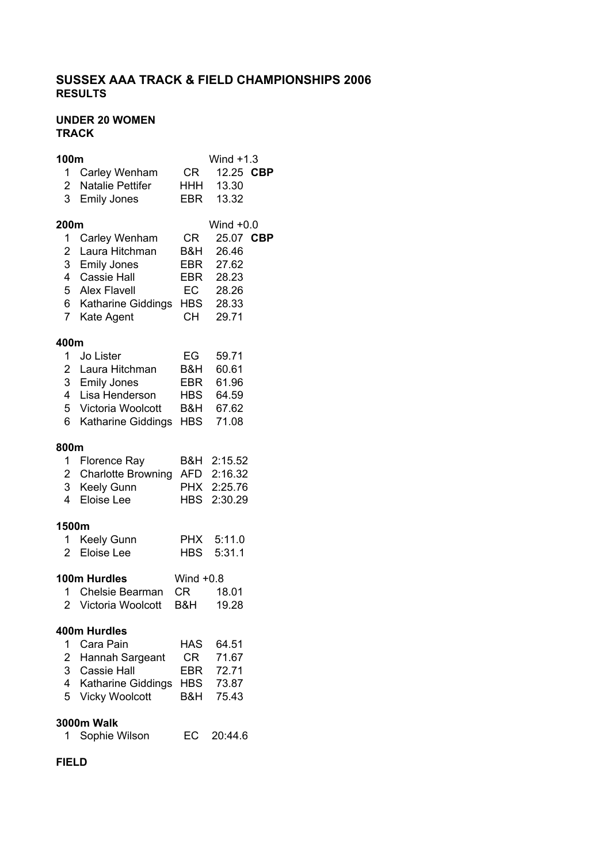#### **UNDER 20 WOMEN TRACK**

| 100m                                                    |                                                                                                                                       |                                                     | Wind $+1.3$                                                         |  |
|---------------------------------------------------------|---------------------------------------------------------------------------------------------------------------------------------------|-----------------------------------------------------|---------------------------------------------------------------------|--|
| 1<br>$\overline{2}$<br>3                                | Carley Wenham<br>Natalie Pettifer<br><b>Emily Jones</b>                                                                               | <b>CR</b><br><b>HHH</b><br>EBR                      | 12.25 CBP<br>13.30<br>13.32                                         |  |
| 200m                                                    |                                                                                                                                       |                                                     | Wind $+0.0$                                                         |  |
| 1<br>$\overline{2}$<br>$\overline{3}$<br>$\overline{4}$ | Carley Wenham<br>Laura Hitchman<br><b>Emily Jones</b><br><b>Cassie Hall</b><br>5 Alex Flavell<br>6 Katharine Giddings<br>7 Kate Agent | CR<br>B&H<br>EBR<br>EBR<br>EC<br>CH <sub>1</sub>    | 25.07 CBP<br>26.46<br>27.62<br>28.23<br>28.26<br>HBS 28.33<br>29.71 |  |
| 400m<br>1<br>$\overline{2}$<br>5<br>6                   | Jo Lister<br>Laura Hitchman<br>3 Emily Jones<br>4 Lisa Henderson<br>Victoria Woolcott<br>Katharine Giddings                           | EG<br>B&H<br><b>EBR</b><br><b>HBS</b><br>B&H<br>HBS | 59.71<br>60.61<br>61.96<br>64.59<br>67.62<br>71.08                  |  |
| 800m<br>1<br>$\overline{2}$<br>3<br>4                   | Florence Ray<br><b>Charlotte Browning</b><br>Keely Gunn<br>Eloise Lee                                                                 | <b>AFD</b><br><b>PHX</b><br><b>HBS</b>              | B&H 2:15.52<br>2:16.32<br>2:25.76<br>2:30.29                        |  |
| 1500m<br>1<br>$\overline{2}$                            | Keely Gunn<br>Eloise Lee                                                                                                              | <b>PHX</b><br><b>HBS</b>                            | 5:11.0<br>5:31.1                                                    |  |
| 1.<br>2                                                 | 100m Hurdles<br>Chelsie Bearman<br>Victoria Woolcott                                                                                  | Wind $+0.8$<br>CR<br>B&H                            | 18.01<br>19.28                                                      |  |
| 3<br>5                                                  | 400m Hurdles<br>1 Cara Pain<br>2 Hannah Sargeant<br><b>Cassie Hall</b><br>4 Katharine Giddings<br><b>Vicky Woolcott</b>               | HAS<br>CR -<br>EBR<br><b>HBS</b><br>B&H             | 64.51<br>71.67<br>72.71<br>73.87<br>75.43                           |  |
| 1                                                       | <b>3000m Walk</b><br>Sophie Wilson                                                                                                    | EC                                                  | 20:44.6                                                             |  |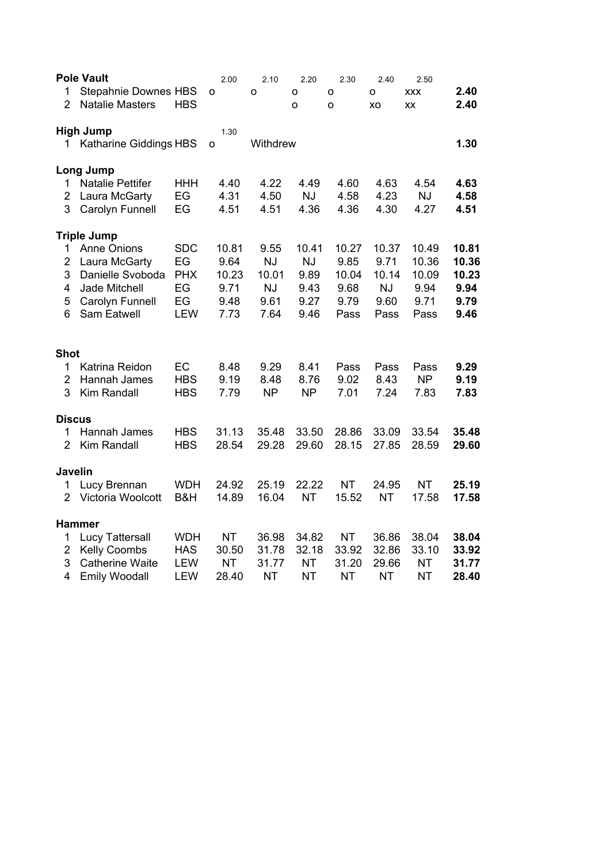|                | <b>Pole Vault</b>       |            | 2.00      | 2.10      | 2.20      | 2.30      | 2.40      | 2.50       |       |
|----------------|-------------------------|------------|-----------|-----------|-----------|-----------|-----------|------------|-------|
| 1              | Stepahnie Downes HBS    |            | o         | o         | 0         | o         | O         | <b>XXX</b> | 2.40  |
| $\overline{2}$ | <b>Natalie Masters</b>  | <b>HBS</b> |           |           | o         | o         | XO        | XX         | 2.40  |
|                | <b>High Jump</b>        |            | 1.30      |           |           |           |           |            |       |
| 1              | Katharine Giddings HBS  |            | O         | Withdrew  |           |           |           |            | 1.30  |
|                | Long Jump               |            |           |           |           |           |           |            |       |
| 1              | <b>Natalie Pettifer</b> | <b>HHH</b> | 4.40      | 4.22      | 4.49      | 4.60      | 4.63      | 4.54       | 4.63  |
| $\overline{2}$ | Laura McGarty           | EG         | 4.31      | 4.50      | <b>NJ</b> | 4.58      | 4.23      | <b>NJ</b>  | 4.58  |
| 3              | Carolyn Funnell         | EG         | 4.51      | 4.51      | 4.36      | 4.36      | 4.30      | 4.27       | 4.51  |
|                | <b>Triple Jump</b>      |            |           |           |           |           |           |            |       |
| 1              | <b>Anne Onions</b>      | <b>SDC</b> | 10.81     | 9.55      | 10.41     | 10.27     | 10.37     | 10.49      | 10.81 |
| $\overline{2}$ | Laura McGarty           | EG         | 9.64      | <b>NJ</b> | <b>NJ</b> | 9.85      | 9.71      | 10.36      | 10.36 |
| 3              | Danielle Svoboda        | <b>PHX</b> | 10.23     | 10.01     | 9.89      | 10.04     | 10.14     | 10.09      | 10.23 |
| 4              | Jade Mitchell           | EG         | 9.71      | <b>NJ</b> | 9.43      | 9.68      | <b>NJ</b> | 9.94       | 9.94  |
| 5              | Carolyn Funnell         | EG         | 9.48      | 9.61      | 9.27      | 9.79      | 9.60      | 9.71       | 9.79  |
| 6              | Sam Eatwell             | <b>LEW</b> | 7.73      | 7.64      | 9.46      | Pass      | Pass      | Pass       | 9.46  |
| <b>Shot</b>    |                         |            |           |           |           |           |           |            |       |
| 1              | Katrina Reidon          | EC         | 8.48      | 9.29      | 8.41      | Pass      | Pass      | Pass       | 9.29  |
| $\overline{2}$ | Hannah James            | <b>HBS</b> | 9.19      | 8.48      | 8.76      | 9.02      | 8.43      | <b>NP</b>  | 9.19  |
| 3              | Kim Randall             | <b>HBS</b> | 7.79      | <b>NP</b> | <b>NP</b> | 7.01      | 7.24      | 7.83       | 7.83  |
| <b>Discus</b>  |                         |            |           |           |           |           |           |            |       |
| $\mathbf{1}$   | Hannah James            | <b>HBS</b> | 31.13     | 35.48     | 33.50     | 28.86     | 33.09     | 33.54      | 35.48 |
| $\overline{2}$ | Kim Randall             | <b>HBS</b> | 28.54     | 29.28     | 29.60     | 28.15     | 27.85     | 28.59      | 29.60 |
| Javelin        |                         |            |           |           |           |           |           |            |       |
| 1              | Lucy Brennan            | <b>WDH</b> | 24.92     | 25.19     | 22.22     | <b>NT</b> | 24.95     | <b>NT</b>  | 25.19 |
| $\overline{2}$ | Victoria Woolcott       | B&H        | 14.89     | 16.04     | <b>NT</b> | 15.52     | <b>NT</b> | 17.58      | 17.58 |
|                | <b>Hammer</b>           |            |           |           |           |           |           |            |       |
| 1              | Lucy Tattersall         | <b>WDH</b> | <b>NT</b> | 36.98     | 34.82     | <b>NT</b> | 36.86     | 38.04      | 38.04 |
| $\overline{c}$ | Kelly Coombs            | <b>HAS</b> | 30.50     | 31.78     | 32.18     | 33.92     | 32.86     | 33.10      | 33.92 |
| 3              | <b>Catherine Waite</b>  | <b>LEW</b> | <b>NT</b> | 31.77     | <b>NT</b> | 31.20     | 29.66     | <b>NT</b>  | 31.77 |
| $\overline{4}$ | <b>Emily Woodall</b>    | <b>LEW</b> | 28.40     | <b>NT</b> | <b>NT</b> | <b>NT</b> | <b>NT</b> | <b>NT</b>  | 28.40 |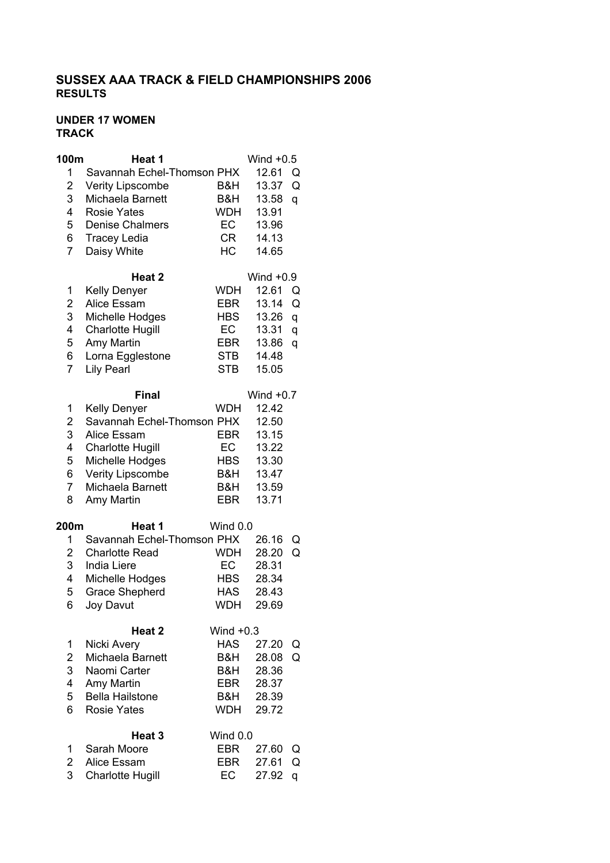### **UNDER 17 WOMEN TRACK**

| 100m                    | Heat 1                     |             | Wind $+0.5$ |   |
|-------------------------|----------------------------|-------------|-------------|---|
| 1                       | Savannah Echel-Thomson PHX |             | 12.61       | Q |
| $\overline{\mathbf{c}}$ | <b>Verity Lipscombe</b>    | B&H         | 13.37       | Q |
| 3                       | Michaela Barnett           | B&H         | 13.58       | q |
| 4                       | <b>Rosie Yates</b>         | <b>WDH</b>  | 13.91       |   |
| 5                       | <b>Denise Chalmers</b>     | EC          | 13.96       |   |
| 6                       | <b>Tracey Ledia</b>        | CR          | 14.13       |   |
| $\overline{7}$          | Daisy White                | <b>HC</b>   | 14.65       |   |
|                         |                            |             |             |   |
|                         | Heat 2                     |             | Wind $+0.9$ |   |
| 1                       | Kelly Denyer               | <b>WDH</b>  | 12.61       | Q |
| $\overline{c}$          | Alice Essam                | EBR         | 13.14       | Q |
| 3                       | Michelle Hodges            | <b>HBS</b>  | 13.26       | q |
| 4                       | <b>Charlotte Hugill</b>    | EC          | 13.31       | q |
| 5                       | Amy Martin                 | EBR         | 13.86       | q |
| 6                       | Lorna Egglestone           | <b>STB</b>  | 14.48       |   |
| 7                       | <b>Lily Pearl</b>          | <b>STB</b>  | 15.05       |   |
|                         |                            |             |             |   |
|                         | <b>Final</b>               |             | Wind $+0.7$ |   |
| 1                       | <b>Kelly Denyer</b>        | <b>WDH</b>  | 12.42       |   |
| 2                       | Savannah Echel-Thomson PHX |             | 12.50       |   |
| 3                       | Alice Essam                | <b>EBR</b>  | 13.15       |   |
| 4                       | <b>Charlotte Hugill</b>    | EC          | 13.22       |   |
| 5                       | Michelle Hodges            | <b>HBS</b>  | 13.30       |   |
| 6                       | Verity Lipscombe           | B&H         | 13.47       |   |
| $\overline{7}$          | Michaela Barnett           | B&H         | 13.59       |   |
| 8                       |                            | <b>EBR</b>  | 13.71       |   |
|                         | Amy Martin                 |             |             |   |
| 200m                    | Heat 1                     | Wind 0.0    |             |   |
| 1                       | Savannah Echel-Thomson PHX |             | 26.16       | Q |
| 2                       | <b>Charlotte Read</b>      | <b>WDH</b>  | 28.20       | Q |
| 3                       | <b>India Liere</b>         | EC          | 28.31       |   |
| 4                       | Michelle Hodges            | HBS         | 28.34       |   |
| 5                       | <b>Grace Shepherd</b>      | HAS         | 28.43       |   |
| 6                       | <b>Joy Davut</b>           | <b>WDH</b>  | 29.69       |   |
|                         |                            |             |             |   |
|                         | Heat 2                     | Wind $+0.3$ |             |   |
| 1                       | Nicki Avery                | <b>HAS</b>  | 27.20       | Q |
| $\overline{\mathbf{c}}$ | Michaela Barnett           | B&H         | 28.08       | Q |
| 3                       | Naomi Carter               | B&H         | 28.36       |   |
| 4                       | Amy Martin                 | <b>EBR</b>  | 28.37       |   |
| 5                       | <b>Bella Hailstone</b>     | B&H         | 28.39       |   |
| 6                       | <b>Rosie Yates</b>         | WDH         | 29.72       |   |
|                         |                            |             |             |   |
|                         | Heat 3                     | Wind 0.0    |             |   |
| 1                       | Sarah Moore                | <b>EBR</b>  | 27.60       | Q |
| $\overline{\mathbf{c}}$ | Alice Essam                | <b>EBR</b>  | 27.61       | Q |
| 3                       | <b>Charlotte Hugill</b>    | EC          | 27.92       | q |
|                         |                            |             |             |   |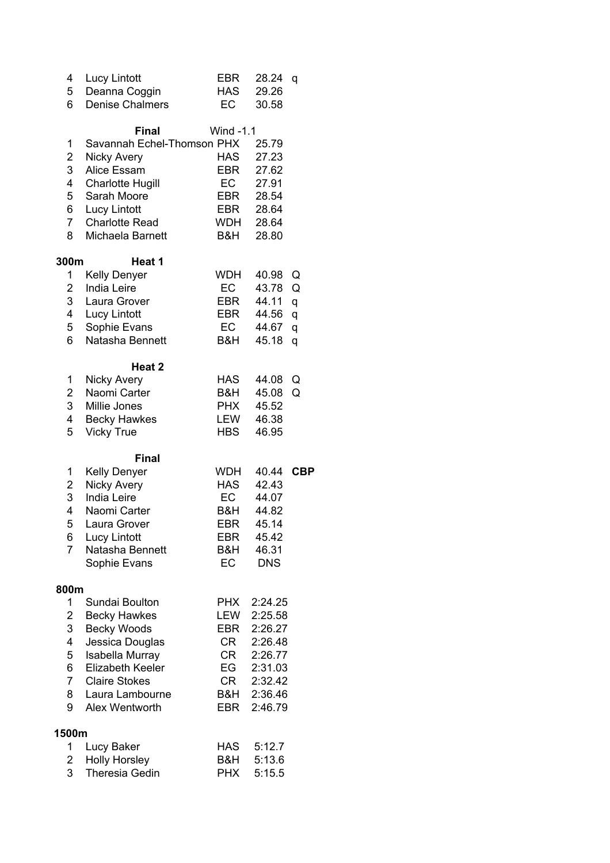| 4<br>5                  | Lucy Lintott<br>Deanna Coggin     | <b>EBR</b><br><b>HAS</b> | 28.24<br>29.26     | q          |
|-------------------------|-----------------------------------|--------------------------|--------------------|------------|
| 6                       | <b>Denise Chalmers</b>            | EC.                      | 30.58              |            |
|                         | <b>Final</b>                      | <b>Wind -1.1</b>         |                    |            |
| 1                       | Savannah Echel-Thomson PHX        |                          | 25.79              |            |
| $\overline{\mathbf{c}}$ | Nicky Avery                       | <b>HAS</b>               | 27.23              |            |
| 3                       | Alice Essam                       | EBR                      | 27.62              |            |
| 4                       | <b>Charlotte Hugill</b>           | EC                       | 27.91              |            |
| 5                       | Sarah Moore                       | EBR                      | 28.54              |            |
| 6                       | Lucy Lintott                      | EBR                      | 28.64              |            |
| $\overline{7}$          | <b>Charlotte Read</b>             | WDH                      | 28.64              |            |
| 8                       | Michaela Barnett                  | B&H                      | 28.80              |            |
| 300m                    | Heat 1                            |                          |                    |            |
| 1                       | <b>Kelly Denyer</b>               | <b>WDH</b>               | 40.98              | Q          |
| 2                       | <b>India Leire</b>                | EC                       | 43.78              | Q          |
| 3                       | Laura Grover                      | EBR                      | 44.11              | q          |
| 4                       | Lucy Lintott                      | EBR                      | 44.56              | q          |
| 5                       | Sophie Evans                      | EC                       | 44.67              | q          |
| 6                       | Natasha Bennett                   | B&H                      | 45.18              | q          |
|                         | Heat 2                            |                          |                    |            |
| 1                       | <b>Nicky Avery</b>                | HAS                      | 44.08              | Q          |
| $\overline{\mathbf{c}}$ | Naomi Carter                      | B&H                      | 45.08              | Q          |
| 3                       | Millie Jones                      | <b>PHX</b>               | 45.52              |            |
| 4                       | <b>Becky Hawkes</b>               | LEW                      | 46.38              |            |
| 5                       | <b>Vicky True</b>                 | <b>HBS</b>               | 46.95              |            |
|                         | <b>Final</b>                      |                          |                    |            |
| 1                       | <b>Kelly Denyer</b>               | <b>WDH</b>               | 40.44              | <b>CBP</b> |
|                         | <b>Nicky Avery</b>                | <b>HAS</b>               | 42.43              |            |
| $\frac{2}{3}$           | India Leire                       | EC                       | 44.07              |            |
| 4                       | Naomi Carter                      | B&H                      | 44.82              |            |
| 5                       | Laura Grover                      | <b>EBR</b>               | 45.14              |            |
| 6                       | Lucy Lintott                      | EBR                      | 45.42              |            |
| $\overline{7}$          | Natasha Bennett                   | B&H                      | 46.31              |            |
|                         | Sophie Evans                      | EC.                      | <b>DNS</b>         |            |
| 800m                    |                                   |                          |                    |            |
| 1                       | Sundai Boulton                    | <b>PHX</b>               | 2:24.25            |            |
| 2                       | <b>Becky Hawkes</b>               | LEW                      | 2:25.58            |            |
| 3                       | <b>Becky Woods</b>                | EBR                      | 2:26.27            |            |
| 4                       | Jessica Douglas                   | CR —                     | 2:26.48            |            |
| 5                       | Isabella Murray                   | CR .                     | 2:26.77            |            |
| 6                       | Elizabeth Keeler                  | EG                       | 2:31.03            |            |
| $\overline{7}$          | <b>Claire Stokes</b>              | CR —                     | 2:32.42            |            |
| 8<br>9                  | Laura Lambourne<br>Alex Wentworth | B&H<br><b>EBR</b>        | 2:36.46<br>2:46.79 |            |
|                         |                                   |                          |                    |            |
| 1500m                   |                                   |                          |                    |            |
| 1                       | Lucy Baker                        | <b>HAS</b>               | 5:12.7             |            |
| 2                       | <b>Holly Horsley</b>              | B&H                      | 5:13.6             |            |
| 3                       | <b>Theresia Gedin</b>             | <b>PHX</b>               | 5:15.5             |            |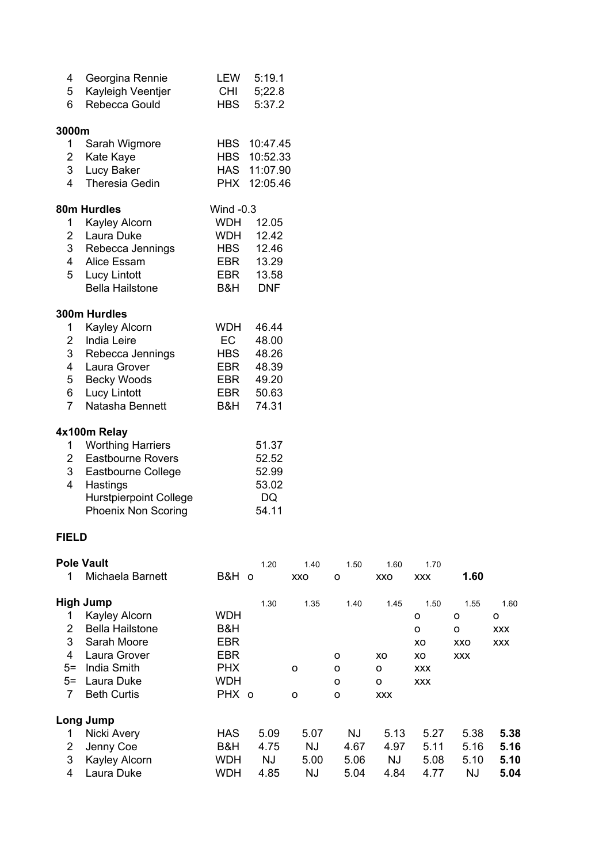| 4                       | Georgina Rennie               | LEW                                                                                                                                                                                                                            | 5:19.1       |
|-------------------------|-------------------------------|--------------------------------------------------------------------------------------------------------------------------------------------------------------------------------------------------------------------------------|--------------|
| 5                       | Kayleigh Veentjer             | <b>CHI</b>                                                                                                                                                                                                                     | 5;22.8       |
| 6                       | Rebecca Gould                 | <b>HBS</b>                                                                                                                                                                                                                     | 5:37.2       |
| 3000m                   |                               |                                                                                                                                                                                                                                |              |
| 1                       | Sarah Wigmore                 |                                                                                                                                                                                                                                | HBS 10:47.45 |
| $\overline{2}$          | Kate Kaye                     |                                                                                                                                                                                                                                | HBS 10:52.33 |
| 3                       | Lucy Baker                    |                                                                                                                                                                                                                                | HAS 11:07.90 |
| 4                       | <b>Theresia Gedin</b>         |                                                                                                                                                                                                                                | PHX 12:05.46 |
|                         | 80m Hurdles                   | Wind $-0.3$                                                                                                                                                                                                                    |              |
| 1                       | Kayley Alcorn                 | WDH                                                                                                                                                                                                                            | 12.05        |
| $\overline{2}$          | Laura Duke                    | WDH                                                                                                                                                                                                                            | 12.42        |
| 3                       | Rebecca Jennings              | <b>HBS</b>                                                                                                                                                                                                                     | 12.46        |
| $\overline{4}$          | <b>Alice Essam</b>            | EBR                                                                                                                                                                                                                            | 13.29        |
| 5                       | <b>Lucy Lintott</b>           | <b>EBR</b>                                                                                                                                                                                                                     | 13.58        |
|                         | <b>Bella Hailstone</b>        | B&H                                                                                                                                                                                                                            | <b>DNF</b>   |
|                         | 300m Hurdles                  |                                                                                                                                                                                                                                |              |
| 1                       | Kayley Alcorn                 | <b>WDH</b>                                                                                                                                                                                                                     | 46.44        |
| $\overline{2}$          | <b>India Leire</b>            | EC and the set of the set of the set of the set of the set of the set of the set of the set of the set of the set of the set of the set of the set of the set of the set of the set of the set of the set of the set of the se | 48.00        |
| 3                       | Rebecca Jennings              | <b>HBS</b>                                                                                                                                                                                                                     | 48.26        |
| $\overline{\mathbf{4}}$ | Laura Grover                  | EBR                                                                                                                                                                                                                            | 48.39        |
| 5                       | <b>Becky Woods</b>            | EBR                                                                                                                                                                                                                            | 49.20        |
| 6                       | <b>Lucy Lintott</b>           | <b>EBR</b>                                                                                                                                                                                                                     | 50.63        |
| $\overline{7}$          | Natasha Bennett               | B&H                                                                                                                                                                                                                            | 74.31        |
|                         | 4x100m Relay                  |                                                                                                                                                                                                                                |              |
| 1                       | <b>Worthing Harriers</b>      |                                                                                                                                                                                                                                | 51.37        |
| $\overline{2}$          | <b>Eastbourne Rovers</b>      |                                                                                                                                                                                                                                | 52.52        |
| 3                       | Eastbourne College            |                                                                                                                                                                                                                                | 52.99        |
| $\overline{\mathbf{4}}$ | Hastings                      |                                                                                                                                                                                                                                | 53.02        |
|                         | <b>Hurstpierpoint College</b> |                                                                                                                                                                                                                                | DQ           |
|                         | <b>Phoenix Non Scoring</b>    |                                                                                                                                                                                                                                | 54.11        |
| <b>FIELD</b>            |                               |                                                                                                                                                                                                                                |              |

|      | <b>Pole Vault</b>      |                 | 1.20      | 1.40 | 1.50    | 1.60 | 1.70       |            |            |
|------|------------------------|-----------------|-----------|------|---------|------|------------|------------|------------|
| 1    | Michaela Barnett       | B&H<br>$\Omega$ |           | XXO  | O       | XXO  | <b>XXX</b> | 1.60       |            |
|      | <b>High Jump</b>       |                 | 1.30      | 1.35 | 1.40    | 1.45 | 1.50       | 1.55       | 1.60       |
|      | <b>Kayley Alcorn</b>   | <b>WDH</b>      |           |      |         |      | o          | o          | o          |
| 2    | <b>Bella Hailstone</b> | B&H             |           |      |         |      | o          | o          | <b>XXX</b> |
| 3    | Sarah Moore            | <b>EBR</b>      |           |      |         |      | XO         | XXO        | <b>XXX</b> |
| 4    | Laura Grover           | <b>EBR</b>      |           |      | $\circ$ | XO   | XO         | <b>XXX</b> |            |
| $5=$ | India Smith            | <b>PHX</b>      |           | O    | $\circ$ | o    | <b>XXX</b> |            |            |
| $5=$ | Laura Duke             | <b>WDH</b>      |           |      | $\circ$ | O    | <b>XXX</b> |            |            |
| 7    | <b>Beth Curtis</b>     | PHX o           |           | O    | O       | XXX  |            |            |            |
|      | Long Jump              |                 |           |      |         |      |            |            |            |
| 1    | Nicki Avery            | <b>HAS</b>      | 5.09      | 5.07 | ΝJ      | 5.13 | 5.27       | 5.38       | 5.38       |
| 2    | Jenny Coe              | B&H             | 4.75      | NJ   | 4.67    | 4.97 | 5.11       | 5.16       | 5.16       |
| 3    | Kayley Alcorn          | <b>WDH</b>      | <b>NJ</b> | 5.00 | 5.06    | NJ   | 5.08       | 5.10       | 5.10       |
| 4    | Laura Duke             | <b>WDH</b>      | 4.85      | NJ   | 5.04    | 4.84 | 4.77       | NJ         | 5.04       |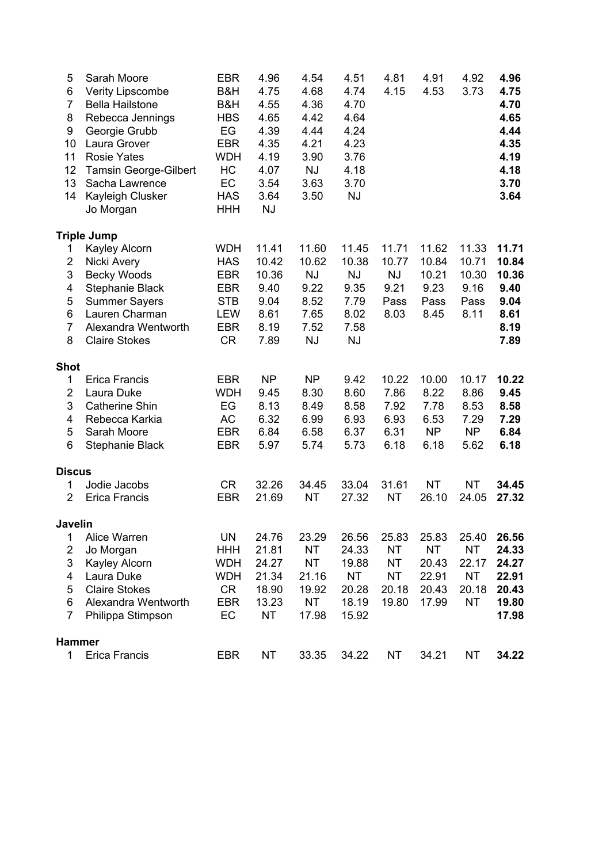| 5                       | Sarah Moore                  | <b>EBR</b> | 4.96      | 4.54      | 4.51      | 4.81      | 4.91      | 4.92      | 4.96  |
|-------------------------|------------------------------|------------|-----------|-----------|-----------|-----------|-----------|-----------|-------|
| 6                       | <b>Verity Lipscombe</b>      | B&H        | 4.75      | 4.68      | 4.74      | 4.15      | 4.53      | 3.73      | 4.75  |
| $\overline{7}$          | <b>Bella Hailstone</b>       | B&H        | 4.55      | 4.36      | 4.70      |           |           |           | 4.70  |
| 8                       | Rebecca Jennings             | <b>HBS</b> | 4.65      | 4.42      | 4.64      |           |           |           | 4.65  |
| 9                       | Georgie Grubb                | EG         | 4.39      | 4.44      | 4.24      |           |           |           | 4.44  |
| 10                      | Laura Grover                 | <b>EBR</b> | 4.35      | 4.21      | 4.23      |           |           |           | 4.35  |
| 11                      | <b>Rosie Yates</b>           | <b>WDH</b> | 4.19      | 3.90      | 3.76      |           |           |           | 4.19  |
| 12                      | <b>Tamsin George-Gilbert</b> | HC         | 4.07      | <b>NJ</b> | 4.18      |           |           |           | 4.18  |
| 13                      | Sacha Lawrence               | EC         | 3.54      | 3.63      | 3.70      |           |           |           | 3.70  |
| 14                      | Kayleigh Clusker             | <b>HAS</b> | 3.64      | 3.50      | <b>NJ</b> |           |           |           | 3.64  |
|                         | Jo Morgan                    | <b>HHH</b> | <b>NJ</b> |           |           |           |           |           |       |
|                         | <b>Triple Jump</b>           |            |           |           |           |           |           |           |       |
| 1                       | Kayley Alcorn                | <b>WDH</b> | 11.41     | 11.60     | 11.45     | 11.71     | 11.62     | 11.33     | 11.71 |
| $\overline{\mathbf{c}}$ | Nicki Avery                  | <b>HAS</b> | 10.42     | 10.62     | 10.38     | 10.77     | 10.84     | 10.71     | 10.84 |
| 3                       | <b>Becky Woods</b>           | <b>EBR</b> | 10.36     | <b>NJ</b> | <b>NJ</b> | NJ        | 10.21     | 10.30     | 10.36 |
| 4                       | Stephanie Black              | <b>EBR</b> | 9.40      | 9.22      | 9.35      | 9.21      | 9.23      | 9.16      | 9.40  |
| 5                       | <b>Summer Sayers</b>         | <b>STB</b> | 9.04      | 8.52      | 7.79      | Pass      | Pass      | Pass      | 9.04  |
| 6                       | Lauren Charman               | <b>LEW</b> | 8.61      | 7.65      | 8.02      | 8.03      | 8.45      | 8.11      | 8.61  |
| $\overline{7}$          | Alexandra Wentworth          | <b>EBR</b> | 8.19      | 7.52      | 7.58      |           |           |           | 8.19  |
| 8                       | <b>Claire Stokes</b>         | <b>CR</b>  | 7.89      | NJ        | <b>NJ</b> |           |           |           | 7.89  |
| <b>Shot</b>             |                              |            |           |           |           |           |           |           |       |
| 1                       | <b>Erica Francis</b>         | <b>EBR</b> | <b>NP</b> | NP        | 9.42      | 10.22     | 10.00     | 10.17     | 10.22 |
| $\overline{2}$          | Laura Duke                   | <b>WDH</b> | 9.45      | 8.30      | 8.60      | 7.86      | 8.22      | 8.86      | 9.45  |
| 3                       | <b>Catherine Shin</b>        | EG         | 8.13      | 8.49      | 8.58      | 7.92      | 7.78      | 8.53      | 8.58  |
| 4                       | Rebecca Karkia               | AC         | 6.32      | 6.99      | 6.93      | 6.93      | 6.53      | 7.29      | 7.29  |
| 5                       | Sarah Moore                  | <b>EBR</b> | 6.84      | 6.58      | 6.37      | 6.31      | <b>NP</b> | NP        | 6.84  |
| 6                       | <b>Stephanie Black</b>       | <b>EBR</b> | 5.97      | 5.74      | 5.73      | 6.18      | 6.18      | 5.62      | 6.18  |
| <b>Discus</b>           |                              |            |           |           |           |           |           |           |       |
| 1                       | Jodie Jacobs                 | <b>CR</b>  | 32.26     | 34.45     | 33.04     | 31.61     | <b>NT</b> | <b>NT</b> | 34.45 |
| $\overline{2}$          | <b>Erica Francis</b>         | <b>EBR</b> | 21.69     | <b>NT</b> | 27.32     | <b>NT</b> | 26.10     | 24.05     | 27.32 |
| Javelin                 |                              |            |           |           |           |           |           |           |       |
| 1                       | Alice Warren                 | <b>UN</b>  | 24.76     | 23.29     | 26.56     | 25.83     | 25.83     | 25.40     | 26.56 |
| $\overline{\mathbf{c}}$ | Jo Morgan                    | <b>HHH</b> | 21.81     | <b>NT</b> | 24.33     | <b>NT</b> | <b>NT</b> | NT        | 24.33 |
| 3                       | Kayley Alcorn                | <b>WDH</b> | 24.27     | <b>NT</b> | 19.88     | <b>NT</b> | 20.43     | 22.17     | 24.27 |
| $\overline{\mathbf{4}}$ | Laura Duke                   | <b>WDH</b> | 21.34     | 21.16     | <b>NT</b> | <b>NT</b> | 22.91     | <b>NT</b> | 22.91 |
| 5                       | <b>Claire Stokes</b>         | <b>CR</b>  | 18.90     | 19.92     | 20.28     | 20.18     | 20.43     | 20.18     | 20.43 |
| 6                       | Alexandra Wentworth          | <b>EBR</b> | 13.23     | <b>NT</b> | 18.19     | 19.80     | 17.99     | <b>NT</b> | 19.80 |
| $\overline{7}$          | Philippa Stimpson            | EC         | <b>NT</b> | 17.98     | 15.92     |           |           |           | 17.98 |
| <b>Hammer</b>           |                              |            |           |           |           |           |           |           |       |
| $\mathbf 1$             | <b>Erica Francis</b>         | <b>EBR</b> | <b>NT</b> | 33.35     | 34.22     | NT        | 34.21     | NT.       | 34.22 |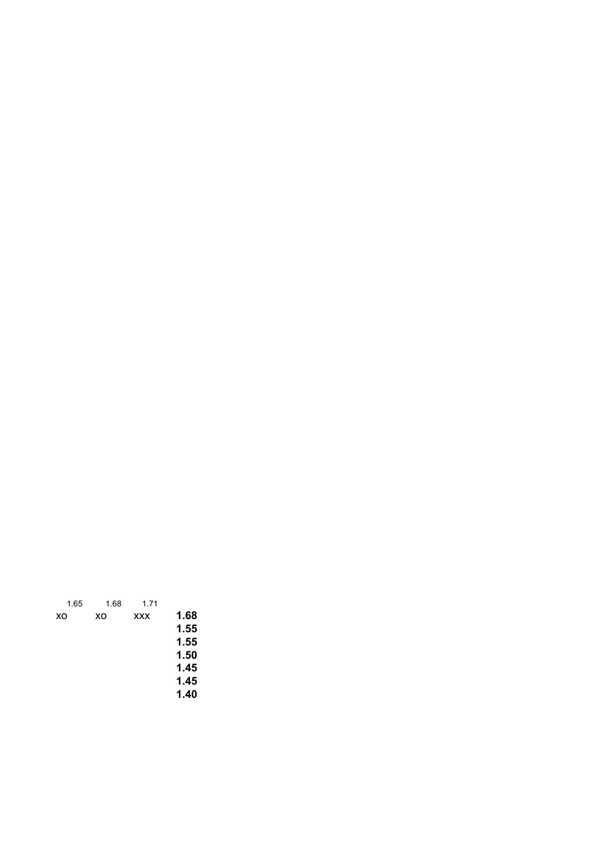|      | 1.71       | 1.68 | 1.65 |
|------|------------|------|------|
| 1.68 | <b>XXX</b> | XO   | XO   |
| 1.55 |            |      |      |
| 1.55 |            |      |      |
| 1.50 |            |      |      |
| 1.45 |            |      |      |
| 1.45 |            |      |      |
| 1.40 |            |      |      |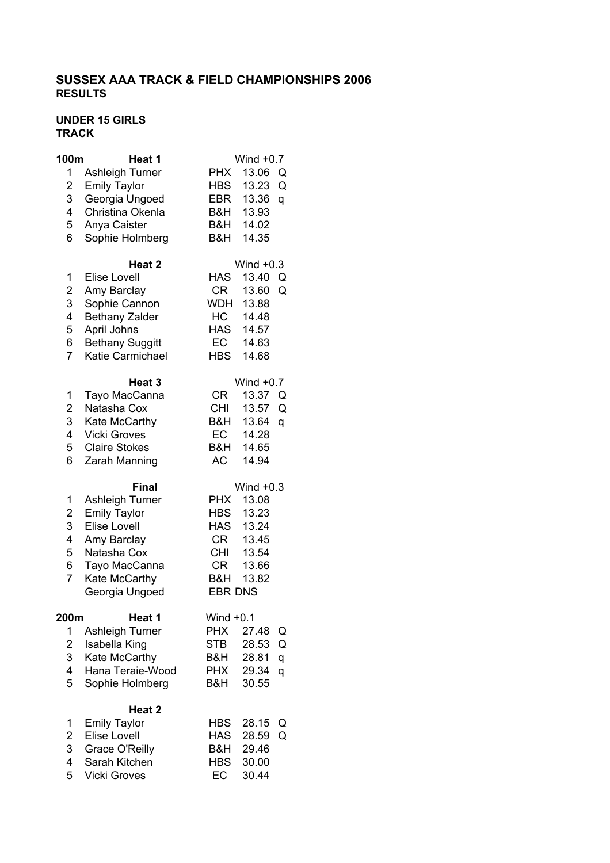### **UNDER 15 GIRLS TRACK**

| Ashleigh Turner<br><b>PHX</b><br>13.06<br>1<br>Q<br>2<br><b>Emily Taylor</b><br>13.23<br>Q<br><b>HBS</b><br>3<br>Georgia Ungoed<br>EBR<br>13.36<br>q<br>Christina Okenla<br>4<br>B&H<br>13.93<br>5<br>Anya Caister<br>14.02<br>B&H<br>14.35<br>6<br>Sophie Holmberg<br>B&H<br>Wind $+0.3$<br>Heat 2<br>13.40<br>1<br><b>Elise Lovell</b><br><b>HAS</b><br>Q<br>$\overline{c}$<br>CR<br>13.60<br>Q<br>Amy Barclay<br>3<br>Sophie Cannon<br><b>WDH</b><br>13.88<br>4<br>Bethany Zalder<br>HC .<br>14.48<br>5<br>April Johns<br>14.57<br><b>HAS</b><br>EC<br>6<br><b>Bethany Suggitt</b><br>14.63<br>Katie Carmichael<br>7<br><b>HBS</b><br>14.68<br>Heat <sub>3</sub><br>Wind $+0.7$<br><b>CR</b><br>13.37<br>1<br>Tayo MacCanna<br>Q<br>$\overline{\mathbf{c}}$<br><b>CHI</b><br>Natasha Cox<br>13.57<br>Q<br>3<br>Kate McCarthy<br>B&H<br>13.64<br>q<br>14.28<br>4<br>EC<br><b>Vicki Groves</b><br>5<br><b>Claire Stokes</b><br>B&H<br>14.65<br>14.94<br>6<br>Zarah Manning<br>AC<br>Wind $+0.3$<br><b>Final</b><br>Ashleigh Turner<br><b>PHX</b><br>13.08<br>1<br>$\overline{c}$<br><b>Emily Taylor</b><br><b>HBS</b><br>13.23<br>3<br><b>Elise Lovell</b><br><b>HAS</b><br>13.24<br>4<br>CR<br>13.45<br>Amy Barclay<br><b>CHI</b><br>5<br>Natasha Cox<br>13.54<br>CR<br>6<br>13.66<br>Tayo MacCanna<br>7<br>Kate McCarthy<br>13.82<br>B&H<br>Georgia Ungoed<br><b>EBR DNS</b><br>Wind $+0.1$<br>200m<br>Heat 1<br>1<br>Ashleigh Turner<br><b>PHX</b><br>27.48<br>Q<br>$\overline{\mathbf{c}}$<br>Isabella King<br>Q<br><b>STB</b><br>28.53<br>3<br>Kate McCarthy<br>B&H<br>28.81<br>q<br>4<br>Hana Teraie-Wood<br><b>PHX</b><br>29.34<br>q<br>5<br>Sophie Holmberg<br>B&H<br>30.55<br>Heat <sub>2</sub><br><b>HBS</b><br>28.15<br>1<br><b>Emily Taylor</b><br>Q<br>$\overline{\mathbf{c}}$<br>28.59<br><b>Elise Lovell</b><br><b>HAS</b><br>Q<br>3<br><b>Grace O'Reilly</b><br>B&H<br>29.46<br>4<br>Sarah Kitchen<br><b>HBS</b><br>30.00<br>5<br>EC<br>30.44<br><b>Vicki Groves</b> | 100m | Heat 1 | Wind $+0.7$ |  |
|---------------------------------------------------------------------------------------------------------------------------------------------------------------------------------------------------------------------------------------------------------------------------------------------------------------------------------------------------------------------------------------------------------------------------------------------------------------------------------------------------------------------------------------------------------------------------------------------------------------------------------------------------------------------------------------------------------------------------------------------------------------------------------------------------------------------------------------------------------------------------------------------------------------------------------------------------------------------------------------------------------------------------------------------------------------------------------------------------------------------------------------------------------------------------------------------------------------------------------------------------------------------------------------------------------------------------------------------------------------------------------------------------------------------------------------------------------------------------------------------------------------------------------------------------------------------------------------------------------------------------------------------------------------------------------------------------------------------------------------------------------------------------------------------------------------------------------------------------------------------------------------------------------------------------------------------------------------------------------------|------|--------|-------------|--|
|                                                                                                                                                                                                                                                                                                                                                                                                                                                                                                                                                                                                                                                                                                                                                                                                                                                                                                                                                                                                                                                                                                                                                                                                                                                                                                                                                                                                                                                                                                                                                                                                                                                                                                                                                                                                                                                                                                                                                                                       |      |        |             |  |
|                                                                                                                                                                                                                                                                                                                                                                                                                                                                                                                                                                                                                                                                                                                                                                                                                                                                                                                                                                                                                                                                                                                                                                                                                                                                                                                                                                                                                                                                                                                                                                                                                                                                                                                                                                                                                                                                                                                                                                                       |      |        |             |  |
|                                                                                                                                                                                                                                                                                                                                                                                                                                                                                                                                                                                                                                                                                                                                                                                                                                                                                                                                                                                                                                                                                                                                                                                                                                                                                                                                                                                                                                                                                                                                                                                                                                                                                                                                                                                                                                                                                                                                                                                       |      |        |             |  |
|                                                                                                                                                                                                                                                                                                                                                                                                                                                                                                                                                                                                                                                                                                                                                                                                                                                                                                                                                                                                                                                                                                                                                                                                                                                                                                                                                                                                                                                                                                                                                                                                                                                                                                                                                                                                                                                                                                                                                                                       |      |        |             |  |
|                                                                                                                                                                                                                                                                                                                                                                                                                                                                                                                                                                                                                                                                                                                                                                                                                                                                                                                                                                                                                                                                                                                                                                                                                                                                                                                                                                                                                                                                                                                                                                                                                                                                                                                                                                                                                                                                                                                                                                                       |      |        |             |  |
|                                                                                                                                                                                                                                                                                                                                                                                                                                                                                                                                                                                                                                                                                                                                                                                                                                                                                                                                                                                                                                                                                                                                                                                                                                                                                                                                                                                                                                                                                                                                                                                                                                                                                                                                                                                                                                                                                                                                                                                       |      |        |             |  |
|                                                                                                                                                                                                                                                                                                                                                                                                                                                                                                                                                                                                                                                                                                                                                                                                                                                                                                                                                                                                                                                                                                                                                                                                                                                                                                                                                                                                                                                                                                                                                                                                                                                                                                                                                                                                                                                                                                                                                                                       |      |        |             |  |
|                                                                                                                                                                                                                                                                                                                                                                                                                                                                                                                                                                                                                                                                                                                                                                                                                                                                                                                                                                                                                                                                                                                                                                                                                                                                                                                                                                                                                                                                                                                                                                                                                                                                                                                                                                                                                                                                                                                                                                                       |      |        |             |  |
|                                                                                                                                                                                                                                                                                                                                                                                                                                                                                                                                                                                                                                                                                                                                                                                                                                                                                                                                                                                                                                                                                                                                                                                                                                                                                                                                                                                                                                                                                                                                                                                                                                                                                                                                                                                                                                                                                                                                                                                       |      |        |             |  |
|                                                                                                                                                                                                                                                                                                                                                                                                                                                                                                                                                                                                                                                                                                                                                                                                                                                                                                                                                                                                                                                                                                                                                                                                                                                                                                                                                                                                                                                                                                                                                                                                                                                                                                                                                                                                                                                                                                                                                                                       |      |        |             |  |
|                                                                                                                                                                                                                                                                                                                                                                                                                                                                                                                                                                                                                                                                                                                                                                                                                                                                                                                                                                                                                                                                                                                                                                                                                                                                                                                                                                                                                                                                                                                                                                                                                                                                                                                                                                                                                                                                                                                                                                                       |      |        |             |  |
|                                                                                                                                                                                                                                                                                                                                                                                                                                                                                                                                                                                                                                                                                                                                                                                                                                                                                                                                                                                                                                                                                                                                                                                                                                                                                                                                                                                                                                                                                                                                                                                                                                                                                                                                                                                                                                                                                                                                                                                       |      |        |             |  |
|                                                                                                                                                                                                                                                                                                                                                                                                                                                                                                                                                                                                                                                                                                                                                                                                                                                                                                                                                                                                                                                                                                                                                                                                                                                                                                                                                                                                                                                                                                                                                                                                                                                                                                                                                                                                                                                                                                                                                                                       |      |        |             |  |
|                                                                                                                                                                                                                                                                                                                                                                                                                                                                                                                                                                                                                                                                                                                                                                                                                                                                                                                                                                                                                                                                                                                                                                                                                                                                                                                                                                                                                                                                                                                                                                                                                                                                                                                                                                                                                                                                                                                                                                                       |      |        |             |  |
|                                                                                                                                                                                                                                                                                                                                                                                                                                                                                                                                                                                                                                                                                                                                                                                                                                                                                                                                                                                                                                                                                                                                                                                                                                                                                                                                                                                                                                                                                                                                                                                                                                                                                                                                                                                                                                                                                                                                                                                       |      |        |             |  |
|                                                                                                                                                                                                                                                                                                                                                                                                                                                                                                                                                                                                                                                                                                                                                                                                                                                                                                                                                                                                                                                                                                                                                                                                                                                                                                                                                                                                                                                                                                                                                                                                                                                                                                                                                                                                                                                                                                                                                                                       |      |        |             |  |
|                                                                                                                                                                                                                                                                                                                                                                                                                                                                                                                                                                                                                                                                                                                                                                                                                                                                                                                                                                                                                                                                                                                                                                                                                                                                                                                                                                                                                                                                                                                                                                                                                                                                                                                                                                                                                                                                                                                                                                                       |      |        |             |  |
|                                                                                                                                                                                                                                                                                                                                                                                                                                                                                                                                                                                                                                                                                                                                                                                                                                                                                                                                                                                                                                                                                                                                                                                                                                                                                                                                                                                                                                                                                                                                                                                                                                                                                                                                                                                                                                                                                                                                                                                       |      |        |             |  |
|                                                                                                                                                                                                                                                                                                                                                                                                                                                                                                                                                                                                                                                                                                                                                                                                                                                                                                                                                                                                                                                                                                                                                                                                                                                                                                                                                                                                                                                                                                                                                                                                                                                                                                                                                                                                                                                                                                                                                                                       |      |        |             |  |
|                                                                                                                                                                                                                                                                                                                                                                                                                                                                                                                                                                                                                                                                                                                                                                                                                                                                                                                                                                                                                                                                                                                                                                                                                                                                                                                                                                                                                                                                                                                                                                                                                                                                                                                                                                                                                                                                                                                                                                                       |      |        |             |  |
|                                                                                                                                                                                                                                                                                                                                                                                                                                                                                                                                                                                                                                                                                                                                                                                                                                                                                                                                                                                                                                                                                                                                                                                                                                                                                                                                                                                                                                                                                                                                                                                                                                                                                                                                                                                                                                                                                                                                                                                       |      |        |             |  |
|                                                                                                                                                                                                                                                                                                                                                                                                                                                                                                                                                                                                                                                                                                                                                                                                                                                                                                                                                                                                                                                                                                                                                                                                                                                                                                                                                                                                                                                                                                                                                                                                                                                                                                                                                                                                                                                                                                                                                                                       |      |        |             |  |
|                                                                                                                                                                                                                                                                                                                                                                                                                                                                                                                                                                                                                                                                                                                                                                                                                                                                                                                                                                                                                                                                                                                                                                                                                                                                                                                                                                                                                                                                                                                                                                                                                                                                                                                                                                                                                                                                                                                                                                                       |      |        |             |  |
|                                                                                                                                                                                                                                                                                                                                                                                                                                                                                                                                                                                                                                                                                                                                                                                                                                                                                                                                                                                                                                                                                                                                                                                                                                                                                                                                                                                                                                                                                                                                                                                                                                                                                                                                                                                                                                                                                                                                                                                       |      |        |             |  |
|                                                                                                                                                                                                                                                                                                                                                                                                                                                                                                                                                                                                                                                                                                                                                                                                                                                                                                                                                                                                                                                                                                                                                                                                                                                                                                                                                                                                                                                                                                                                                                                                                                                                                                                                                                                                                                                                                                                                                                                       |      |        |             |  |
|                                                                                                                                                                                                                                                                                                                                                                                                                                                                                                                                                                                                                                                                                                                                                                                                                                                                                                                                                                                                                                                                                                                                                                                                                                                                                                                                                                                                                                                                                                                                                                                                                                                                                                                                                                                                                                                                                                                                                                                       |      |        |             |  |
|                                                                                                                                                                                                                                                                                                                                                                                                                                                                                                                                                                                                                                                                                                                                                                                                                                                                                                                                                                                                                                                                                                                                                                                                                                                                                                                                                                                                                                                                                                                                                                                                                                                                                                                                                                                                                                                                                                                                                                                       |      |        |             |  |
|                                                                                                                                                                                                                                                                                                                                                                                                                                                                                                                                                                                                                                                                                                                                                                                                                                                                                                                                                                                                                                                                                                                                                                                                                                                                                                                                                                                                                                                                                                                                                                                                                                                                                                                                                                                                                                                                                                                                                                                       |      |        |             |  |
|                                                                                                                                                                                                                                                                                                                                                                                                                                                                                                                                                                                                                                                                                                                                                                                                                                                                                                                                                                                                                                                                                                                                                                                                                                                                                                                                                                                                                                                                                                                                                                                                                                                                                                                                                                                                                                                                                                                                                                                       |      |        |             |  |
|                                                                                                                                                                                                                                                                                                                                                                                                                                                                                                                                                                                                                                                                                                                                                                                                                                                                                                                                                                                                                                                                                                                                                                                                                                                                                                                                                                                                                                                                                                                                                                                                                                                                                                                                                                                                                                                                                                                                                                                       |      |        |             |  |
|                                                                                                                                                                                                                                                                                                                                                                                                                                                                                                                                                                                                                                                                                                                                                                                                                                                                                                                                                                                                                                                                                                                                                                                                                                                                                                                                                                                                                                                                                                                                                                                                                                                                                                                                                                                                                                                                                                                                                                                       |      |        |             |  |
|                                                                                                                                                                                                                                                                                                                                                                                                                                                                                                                                                                                                                                                                                                                                                                                                                                                                                                                                                                                                                                                                                                                                                                                                                                                                                                                                                                                                                                                                                                                                                                                                                                                                                                                                                                                                                                                                                                                                                                                       |      |        |             |  |
|                                                                                                                                                                                                                                                                                                                                                                                                                                                                                                                                                                                                                                                                                                                                                                                                                                                                                                                                                                                                                                                                                                                                                                                                                                                                                                                                                                                                                                                                                                                                                                                                                                                                                                                                                                                                                                                                                                                                                                                       |      |        |             |  |
|                                                                                                                                                                                                                                                                                                                                                                                                                                                                                                                                                                                                                                                                                                                                                                                                                                                                                                                                                                                                                                                                                                                                                                                                                                                                                                                                                                                                                                                                                                                                                                                                                                                                                                                                                                                                                                                                                                                                                                                       |      |        |             |  |
|                                                                                                                                                                                                                                                                                                                                                                                                                                                                                                                                                                                                                                                                                                                                                                                                                                                                                                                                                                                                                                                                                                                                                                                                                                                                                                                                                                                                                                                                                                                                                                                                                                                                                                                                                                                                                                                                                                                                                                                       |      |        |             |  |
|                                                                                                                                                                                                                                                                                                                                                                                                                                                                                                                                                                                                                                                                                                                                                                                                                                                                                                                                                                                                                                                                                                                                                                                                                                                                                                                                                                                                                                                                                                                                                                                                                                                                                                                                                                                                                                                                                                                                                                                       |      |        |             |  |
|                                                                                                                                                                                                                                                                                                                                                                                                                                                                                                                                                                                                                                                                                                                                                                                                                                                                                                                                                                                                                                                                                                                                                                                                                                                                                                                                                                                                                                                                                                                                                                                                                                                                                                                                                                                                                                                                                                                                                                                       |      |        |             |  |
|                                                                                                                                                                                                                                                                                                                                                                                                                                                                                                                                                                                                                                                                                                                                                                                                                                                                                                                                                                                                                                                                                                                                                                                                                                                                                                                                                                                                                                                                                                                                                                                                                                                                                                                                                                                                                                                                                                                                                                                       |      |        |             |  |
|                                                                                                                                                                                                                                                                                                                                                                                                                                                                                                                                                                                                                                                                                                                                                                                                                                                                                                                                                                                                                                                                                                                                                                                                                                                                                                                                                                                                                                                                                                                                                                                                                                                                                                                                                                                                                                                                                                                                                                                       |      |        |             |  |
|                                                                                                                                                                                                                                                                                                                                                                                                                                                                                                                                                                                                                                                                                                                                                                                                                                                                                                                                                                                                                                                                                                                                                                                                                                                                                                                                                                                                                                                                                                                                                                                                                                                                                                                                                                                                                                                                                                                                                                                       |      |        |             |  |
|                                                                                                                                                                                                                                                                                                                                                                                                                                                                                                                                                                                                                                                                                                                                                                                                                                                                                                                                                                                                                                                                                                                                                                                                                                                                                                                                                                                                                                                                                                                                                                                                                                                                                                                                                                                                                                                                                                                                                                                       |      |        |             |  |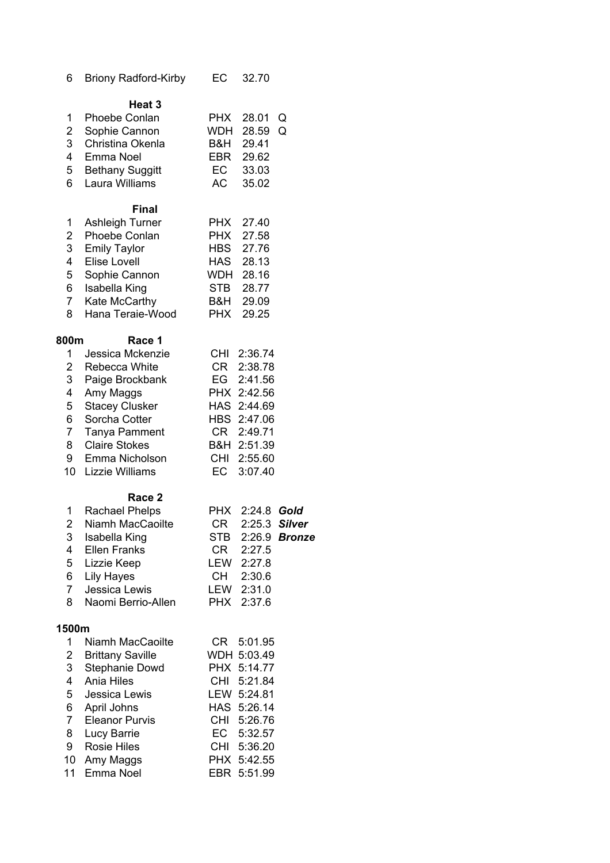| 6                                                                                                       | <b>Briony Radford-Kirby</b>                                                                                                                                                                                | EC                                                                                                                                                                                                                                                                             | 32.70                                                                                                                                                        |                                        |
|---------------------------------------------------------------------------------------------------------|------------------------------------------------------------------------------------------------------------------------------------------------------------------------------------------------------------|--------------------------------------------------------------------------------------------------------------------------------------------------------------------------------------------------------------------------------------------------------------------------------|--------------------------------------------------------------------------------------------------------------------------------------------------------------|----------------------------------------|
| 1<br>2<br>3 <sup>1</sup><br>4<br>5<br>6                                                                 | Heat <sub>3</sub><br>Phoebe Conlan<br>Sophie Cannon<br>Christina Okenla<br>Emma Noel<br><b>Bethany Suggitt</b><br>Laura Williams                                                                           | <b>PHX</b><br>WDH<br>B&H<br>EBR<br>EC and the set of the set of the set of the set of the set of the set of the set of the set of the set of the set of the set of the set of the set of the set of the set of the set of the set of the set of the set of the se<br><b>AC</b> | 28.01<br>28.59<br>29.41<br>29.62<br>33.03<br>35.02                                                                                                           | Q<br>Q                                 |
| 1<br>2<br>3 <sup>1</sup><br>$4 -$<br>5<br>6<br>$\overline{7}$<br>8                                      | <b>Final</b><br>Ashleigh Turner<br>Phoebe Conlan<br><b>Emily Taylor</b><br>Elise Lovell<br>Sophie Cannon<br>Isabella King<br>Kate McCarthy<br>Hana Teraie-Wood                                             | <b>PHX</b><br><b>PHX</b><br>HBS<br>HAS<br>B&H<br><b>PHX</b>                                                                                                                                                                                                                    | 27.40<br>27.58<br>27.76<br>28.13<br>WDH 28.16<br>STB 28.77<br>29.09<br>29.25                                                                                 |                                        |
| 800m<br>1.<br>$\overline{2}$<br>3 <sup>1</sup><br>4<br>5<br>6<br>$\overline{7}$<br>8<br>9<br>10         | Race 1<br>Jessica Mckenzie<br>Rebecca White<br>Paige Brockbank<br>Amy Maggs<br><b>Stacey Clusker</b><br>Sorcha Cotter<br><b>Tanya Pamment</b><br><b>Claire Stokes</b><br>Emma Nicholson<br>Lizzie Williams | <b>CHI</b><br>CR  <br>EG<br><b>HAS</b><br>CR —<br>EC                                                                                                                                                                                                                           | 2:36.74<br>2:38.78<br>2:41.56<br>PHX 2:42.56<br>2:44.69<br>HBS 2:47.06<br>2:49.71<br>B&H 2:51.39<br>CHI 2:55.60<br>3:07.40                                   |                                        |
| 1<br>$\overline{2}$<br>3<br>4<br>5 <sup>5</sup><br>6<br>$\overline{7}$<br>8                             | Race 2<br><b>Rachael Phelps</b><br>Niamh MacCaoilte<br>Isabella King<br><b>Ellen Franks</b><br>Lizzie Keep<br><b>Lily Hayes</b><br>Jessica Lewis<br>Naomi Berrio-Allen                                     | PHX.<br><b>CR</b><br>STB                                                                                                                                                                                                                                                       | 2:24.8<br>2:25.3<br>CR 2:27.5<br>LEW 2:27.8<br>CH 2:30.6<br>LEW 2:31.0<br>PHX 2:37.6                                                                         | Gold<br><b>Silver</b><br>2:26.9 Bronze |
| 1500m                                                                                                   |                                                                                                                                                                                                            |                                                                                                                                                                                                                                                                                |                                                                                                                                                              |                                        |
| 1<br>$\mathbf{2}$<br>3 <sup>1</sup><br>4<br>5<br>6<br>$\overline{7}$<br>8<br>9<br>10<br>11 <sub>1</sub> | Niamh MacCaoilte<br><b>Brittany Saville</b><br>Stephanie Dowd<br><b>Ania Hiles</b><br>Jessica Lewis<br>April Johns<br><b>Eleanor Purvis</b><br>Lucy Barrie<br><b>Rosie Hiles</b><br>Amy Maggs<br>Emma Noel | CR                                                                                                                                                                                                                                                                             | 5:01.95<br>WDH 5:03.49<br>PHX 5:14.77<br>CHI 5:21.84<br>LEW 5:24.81<br>HAS 5:26.14<br>CHI 5:26.76<br>EC 5:32.57<br>CHI 5:36.20<br>PHX 5:42.55<br>EBR 5:51.99 |                                        |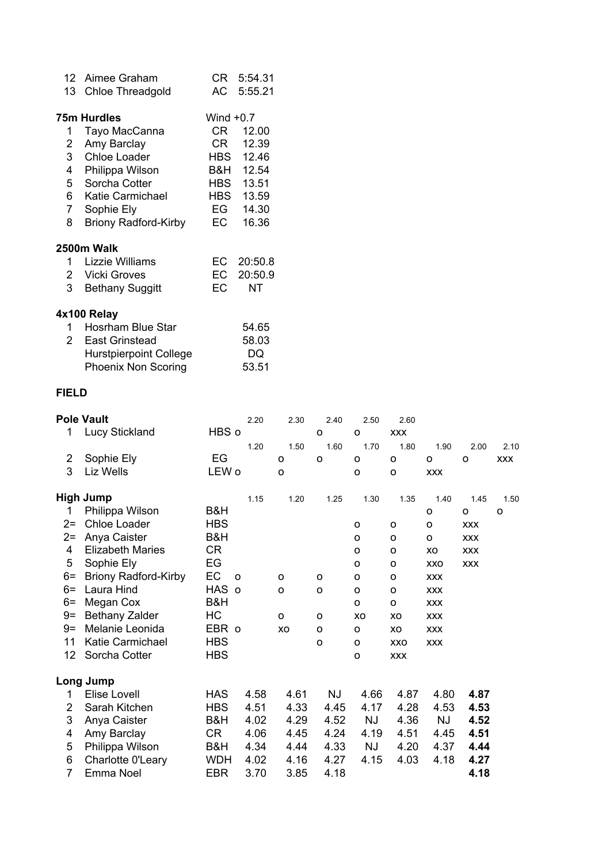|                | 12 Aimee Graham               | CR          | 5:54.31 |
|----------------|-------------------------------|-------------|---------|
| 13             | Chloe Threadgold              | AC          | 5:55.21 |
|                | 75m Hurdles                   | Wind $+0.7$ |         |
| 1.             | Tayo MacCanna                 | CR          | 12.00   |
| $\overline{2}$ | Amy Barclay                   | CR          | 12.39   |
| 3 <sup>1</sup> | Chloe Loader                  | HBS         | 12.46   |
| 4              | Philippa Wilson               | B&H         | 12.54   |
| $5 -$          | Sorcha Cotter                 | HBS         | 13.51   |
| 6              | Katie Carmichael              | HBS         | 13.59   |
| 7 <sup>7</sup> | Sophie Ely                    | EG a        | 14.30   |
| 8              | <b>Briony Radford-Kirby</b>   | EC          | 16.36   |
|                | 2500m Walk                    |             |         |
| $1 \quad$      | Lizzie Williams               | EС          | 20:50.8 |
|                | 2 Vicki Groves                | EC.         | 20:50.9 |
| 3              | <b>Bethany Suggitt</b>        | EС          | NΤ      |
|                | 4x100 Relay                   |             |         |
| 1              | Hosrham Blue Star             |             | 54.65   |
| $\mathbf{2}$   | <b>East Grinstead</b>         |             | 58.03   |
|                | <b>Hurstpierpoint College</b> |             | DQ      |

| Hurstpierpoint College     | υQ    |
|----------------------------|-------|
| <b>Phoenix Non Scoring</b> | 53.51 |
|                            |       |

|                | <b>Pole Vault</b>           |                | 2.20 | 2.30    | 2.40      | 2.50      | 2.60       |            |            |            |
|----------------|-----------------------------|----------------|------|---------|-----------|-----------|------------|------------|------------|------------|
| 1              | Lucy Stickland              | HBS o          |      |         | O         | $\circ$   | <b>XXX</b> |            |            |            |
|                |                             |                | 1.20 | 1.50    | 1.60      | 1.70      | 1.80       | 1.90       | 2.00       | 2.10       |
| $\overline{2}$ | Sophie Ely                  | EG             |      | $\circ$ | $\circ$   | o         | o          | $\circ$    | $\circ$    | <b>XXX</b> |
| 3              | Liz Wells                   | LEW o          |      | $\circ$ |           | O         | o          | <b>XXX</b> |            |            |
|                | <b>High Jump</b>            |                | 1.15 | 1.20    | 1.25      | 1.30      | 1.35       | 1.40       | 1.45       | 1.50       |
| 1              | Philippa Wilson             | B&H            |      |         |           |           |            | O          | $\circ$    | $\circ$    |
| $2 =$          | <b>Chloe Loader</b>         | <b>HBS</b>     |      |         |           | o         | o          | $\circ$    | <b>XXX</b> |            |
| $2 =$          | Anya Caister                | B&H            |      |         |           | o         | o          | o          | <b>XXX</b> |            |
| 4              | <b>Elizabeth Maries</b>     | <b>CR</b>      |      |         |           | o         | o          | XO         | <b>XXX</b> |            |
| 5              | Sophie Ely                  | EG             |      |         |           | o         | o          | XXO        | <b>XXX</b> |            |
| $6=$           | <b>Briony Radford-Kirby</b> | EC<br>$\Omega$ |      | O       | O         | o         | o          | <b>XXX</b> |            |            |
| $6=$           | Laura Hind                  | HAS o          |      | $\circ$ | O         | o         | o          | <b>XXX</b> |            |            |
| 6=             | Megan Cox                   | B&H            |      |         |           | o         | о          | <b>XXX</b> |            |            |
| $9=$           | <b>Bethany Zalder</b>       | HC             |      | O       | O         | XO        | XO         | <b>XXX</b> |            |            |
| $9=$           | Melanie Leonida             | EBR o          |      | XO      | o         | o         | XO         | <b>XXX</b> |            |            |
| 11             | Katie Carmichael            | <b>HBS</b>     |      |         | O         | o         | XXO        | <b>XXX</b> |            |            |
| 12             | Sorcha Cotter               | <b>HBS</b>     |      |         |           | O         | <b>XXX</b> |            |            |            |
|                | Long Jump                   |                |      |         |           |           |            |            |            |            |
| 1              | Elise Lovell                | <b>HAS</b>     | 4.58 | 4.61    | <b>NJ</b> | 4.66      | 4.87       | 4.80       | 4.87       |            |
| 2              | Sarah Kitchen               | <b>HBS</b>     | 4.51 | 4.33    | 4.45      | 4.17      | 4.28       | 4.53       | 4.53       |            |
| 3              | Anya Caister                | B&H            | 4.02 | 4.29    | 4.52      | <b>NJ</b> | 4.36       | <b>NJ</b>  | 4.52       |            |
| 4              | Amy Barclay                 | CR             | 4.06 | 4.45    | 4.24      | 4.19      | 4.51       | 4.45       | 4.51       |            |
| 5              | Philippa Wilson             | B&H            | 4.34 | 4.44    | 4.33      | <b>NJ</b> | 4.20       | 4.37       | 4.44       |            |
| 6              | Charlotte 0'Leary           | <b>WDH</b>     | 4.02 | 4.16    | 4.27      | 4.15      | 4.03       | 4.18       | 4.27       |            |
| 7              | Emma Noel                   | <b>EBR</b>     | 3.70 | 3.85    | 4.18      |           |            |            | 4.18       |            |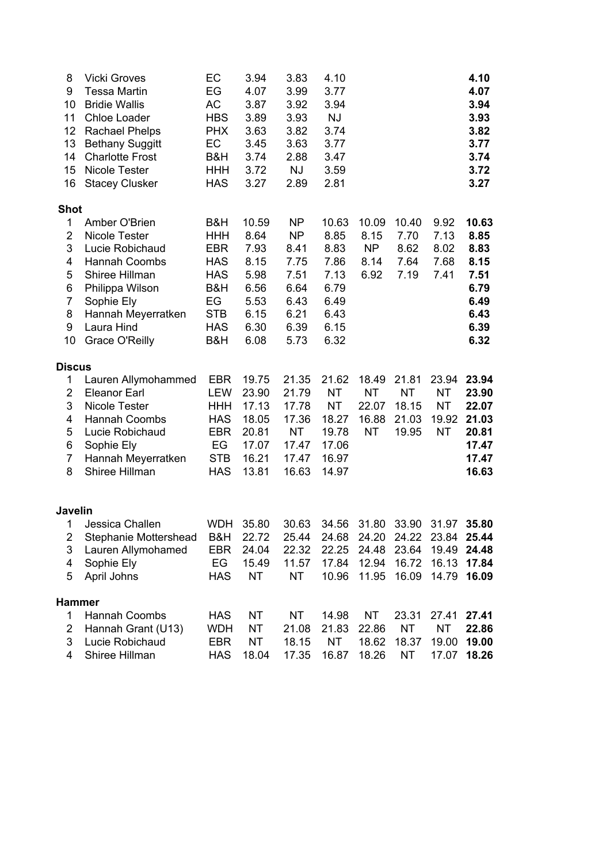| 8<br>9<br>10<br>11<br>13<br>14<br>15                                                                           | <b>Vicki Groves</b><br><b>Tessa Martin</b><br><b>Bridie Wallis</b><br>Chloe Loader<br>12 Rachael Phelps<br><b>Bethany Suggitt</b><br><b>Charlotte Frost</b><br>Nicole Tester       | EC<br>EG<br>AC<br><b>HBS</b><br><b>PHX</b><br>EC<br>B&H<br><b>HHH</b>                                       | 3.94<br>4.07<br>3.87<br>3.89<br>3.63<br>3.45<br>3.74<br>3.72                  | 3.83<br>3.99<br>3.92<br>3.93<br>3.82<br>3.63<br>2.88<br><b>NJ</b>                           | 4.10<br>3.77<br>3.94<br><b>NJ</b><br>3.74<br>3.77<br>3.47<br>3.59             |                                                   |                                               |                                                                   | 4.10<br>4.07<br>3.94<br>3.93<br>3.82<br>3.77<br>3.74<br>3.72                  |
|----------------------------------------------------------------------------------------------------------------|------------------------------------------------------------------------------------------------------------------------------------------------------------------------------------|-------------------------------------------------------------------------------------------------------------|-------------------------------------------------------------------------------|---------------------------------------------------------------------------------------------|-------------------------------------------------------------------------------|---------------------------------------------------|-----------------------------------------------|-------------------------------------------------------------------|-------------------------------------------------------------------------------|
| 16                                                                                                             | <b>Stacey Clusker</b>                                                                                                                                                              | <b>HAS</b>                                                                                                  | 3.27                                                                          | 2.89                                                                                        | 2.81                                                                          |                                                   |                                               |                                                                   | 3.27                                                                          |
| <b>Shot</b><br>1<br>$\overline{2}$<br>3<br>$\overline{\mathbf{4}}$<br>5<br>6<br>$\overline{7}$<br>8<br>9<br>10 | Amber O'Brien<br>Nicole Tester<br>Lucie Robichaud<br>Hannah Coombs<br>Shiree Hillman<br>Philippa Wilson<br>Sophie Ely<br>Hannah Meyerratken<br>Laura Hind<br><b>Grace O'Reilly</b> | B&H<br><b>HHH</b><br><b>EBR</b><br><b>HAS</b><br><b>HAS</b><br>B&H<br>EG<br><b>STB</b><br><b>HAS</b><br>B&H | 10.59<br>8.64<br>7.93<br>8.15<br>5.98<br>6.56<br>5.53<br>6.15<br>6.30<br>6.08 | <b>NP</b><br>N <sub>P</sub><br>8.41<br>7.75<br>7.51<br>6.64<br>6.43<br>6.21<br>6.39<br>5.73 | 10.63<br>8.85<br>8.83<br>7.86<br>7.13<br>6.79<br>6.49<br>6.43<br>6.15<br>6.32 | 10.09<br>8.15<br>NP<br>8.14<br>6.92               | 10.40<br>7.70<br>8.62<br>7.64<br>7.19         | 9.92<br>7.13<br>8.02<br>7.68<br>7.41                              | 10.63<br>8.85<br>8.83<br>8.15<br>7.51<br>6.79<br>6.49<br>6.43<br>6.39<br>6.32 |
| <b>Discus</b>                                                                                                  |                                                                                                                                                                                    |                                                                                                             |                                                                               |                                                                                             |                                                                               |                                                   |                                               |                                                                   |                                                                               |
| 1<br>$\overline{2}$<br>3<br>4<br>5<br>6<br>$\overline{7}$<br>8                                                 | Lauren Allymohammed<br><b>Eleanor Earl</b><br>Nicole Tester<br>Hannah Coombs<br>Lucie Robichaud<br>Sophie Ely<br>Hannah Meyerratken<br>Shiree Hillman                              | <b>EBR</b><br><b>LEW</b><br><b>HHH</b><br><b>HAS</b><br><b>EBR</b><br>EG<br><b>STB</b><br><b>HAS</b>        | 19.75<br>23.90<br>17.13<br>18.05<br>20.81<br>17.07<br>16.21<br>13.81          | 21.35<br>21.79<br>17.78<br>17.36<br><b>NT</b><br>17.47<br>17.47<br>16.63                    | 21.62<br><b>NT</b><br><b>NT</b><br>18.27<br>19.78<br>17.06<br>16.97<br>14.97  | 18.49<br><b>NT</b><br>22.07<br>16.88<br><b>NT</b> | 21.81<br><b>NT</b><br>18.15<br>21.03<br>19.95 | 23.94<br><b>NT</b><br><b>NT</b><br>19.92<br><b>NT</b>             | 23.94<br>23.90<br>22.07<br>21.03<br>20.81<br>17.47<br>17.47<br>16.63          |
| <b>Javelin</b><br>1<br>$\overline{c}$<br>3<br>$\overline{\mathbf{4}}$<br>5                                     | Jessica Challen<br>Stephanie Mottershead<br>Lauren Allymohamed<br>Sophie Ely<br>April Johns                                                                                        | <b>WDH</b><br>B&H<br><b>EBR</b><br>EG<br><b>HAS</b>                                                         | 35.80<br>22.72<br>24.04<br>15.49<br><b>NT</b>                                 | 30.63<br>25.44<br>22.32<br>11.57<br>NT                                                      | 34.56<br>24.68<br>22.25<br>17.84<br>10.96                                     | 24.20<br>24.48<br>12.94<br>11.95                  | 24.22<br>23.64<br>16.72<br>16.09              | 31.80 33.90 31.97 35.80<br>23.84 25.44<br>19.49<br>16.13<br>14.79 | 24.48<br>17.84<br>16.09                                                       |
| <b>Hammer</b><br>$\mathbf{1}$<br>$\overline{2}$<br>3<br>$\overline{\mathbf{4}}$                                | Hannah Coombs<br>Hannah Grant (U13)<br>Lucie Robichaud<br>Shiree Hillman                                                                                                           | <b>HAS</b><br><b>WDH</b><br>EBR<br><b>HAS</b>                                                               | <b>NT</b><br><b>NT</b><br><b>NT</b><br>18.04                                  | <b>NT</b><br>21.08<br>18.15<br>17.35                                                        | 14.98<br>21.83<br><b>NT</b><br>16.87                                          | NT.<br>22.86<br>18.62<br>18.26                    | 23.31<br><b>NT</b><br>18.37<br><b>NT</b>      | 27.41<br><b>NT</b><br>19.00<br>17.07                              | 27.41<br>22.86<br>19.00<br>18.26                                              |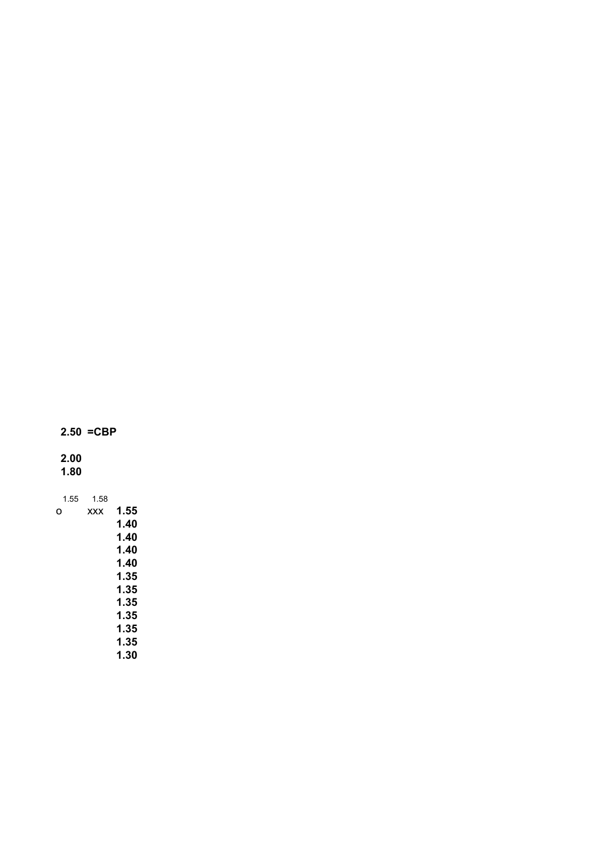**2.50 =CBP**

**2.00**

**1.80**

1.55 1.58 o xxx **1.55 1.40 1.40 1.40 1.40 1.35 1.35 1.35 1.35 1.35 1.35 1.30**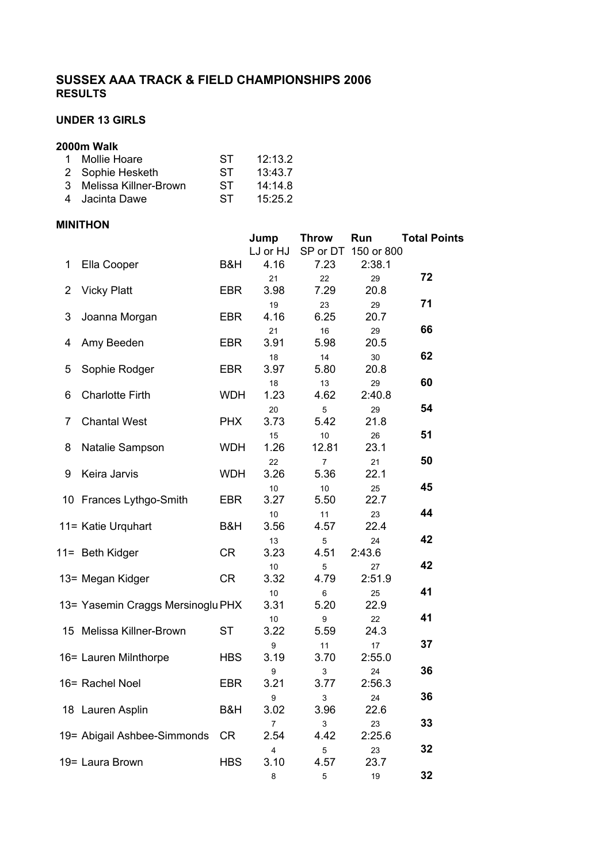#### **UNDER 13 GIRLS**

#### **2000m Walk**

| 1 Mollie Hoare          | -ST | 12:13.2 |
|-------------------------|-----|---------|
| 2 Sophie Hesketh        | ST. | 13:43.7 |
| 3 Melissa Killner-Brown | ST. | 14:14.8 |
|                         |     |         |

| 4 Jacinta Dawe | 15:25.2 |
|----------------|---------|
|                |         |

#### **MINITHON**

|                | <b>MINITHON</b>                   |            |                |                 |            |                     |
|----------------|-----------------------------------|------------|----------------|-----------------|------------|---------------------|
|                |                                   |            | Jump           | <b>Throw</b>    | Run        | <b>Total Points</b> |
|                |                                   |            | LJ or HJ       | SP or DT        | 150 or 800 |                     |
| 1              | Ella Cooper                       | B&H        | 4.16           | 7.23            | 2:38.1     |                     |
|                |                                   |            | 21             | 22              | 29         | 72                  |
| $\overline{2}$ | <b>Vicky Platt</b>                | <b>EBR</b> | 3.98           | 7.29            | 20.8       |                     |
|                |                                   |            | 19             | 23              | 29         | 71                  |
| 3              | Joanna Morgan                     | <b>EBR</b> | 4.16           | 6.25            | 20.7       |                     |
|                |                                   |            | 21             | 16              | 29         | 66                  |
| 4              | Amy Beeden                        | <b>EBR</b> | 3.91           | 5.98            | 20.5       |                     |
|                |                                   |            | 18             | 14              | 30         | 62                  |
| 5              | Sophie Rodger                     | <b>EBR</b> | 3.97           | 5.80            | 20.8       |                     |
|                |                                   |            | 18             | 13              | 29         | 60                  |
| 6              | <b>Charlotte Firth</b>            | <b>WDH</b> | 1.23           | 4.62            | 2:40.8     |                     |
|                |                                   |            | 20             | $5\phantom{.0}$ | 29         | 54                  |
| 7              | <b>Chantal West</b>               | <b>PHX</b> | 3.73           | 5.42            | 21.8       |                     |
|                |                                   |            | 15             | $10\,$          | 26         | 51                  |
| 8              | Natalie Sampson                   | <b>WDH</b> | 1.26           | 12.81           | 23.1       |                     |
|                |                                   |            | 22             | $\overline{7}$  | 21         | 50                  |
| 9              | Keira Jarvis                      | <b>WDH</b> | 3.26           | 5.36            | 22.1       |                     |
|                |                                   |            | $10$           | $10\,$          | 25         | 45                  |
|                | 10 Frances Lythgo-Smith           | <b>EBR</b> | 3.27           | 5.50            | 22.7       |                     |
|                |                                   |            | 10             | 11              | 23         | 44                  |
|                | 11= Katie Urquhart                | B&H        | 3.56           | 4.57            | 22.4       |                     |
|                |                                   |            | 13             | 5               | 24         | 42                  |
|                | 11= Beth Kidger                   | CR         | 3.23           | 4.51            | 2:43.6     |                     |
|                |                                   |            | 10             | 5               | 27         | 42                  |
|                | 13= Megan Kidger                  | <b>CR</b>  | 3.32           | 4.79            | 2:51.9     |                     |
|                |                                   |            | 10             | 6               | 25         | 41                  |
|                | 13= Yasemin Craggs Mersinoglu PHX |            | 3.31           | 5.20            | 22.9       |                     |
|                |                                   |            | 10             | 9               | 22         | 41                  |
|                | 15 Melissa Killner-Brown          | <b>ST</b>  | 3.22           | 5.59            | 24.3       |                     |
|                |                                   |            | 9              | 11              | $17$       | 37                  |
|                | 16= Lauren Milnthorpe             | <b>HBS</b> | 3.19           | 3.70            | 2:55.0     |                     |
|                |                                   |            | 9              | 3               | 24         | 36                  |
|                | 16= Rachel Noel                   | <b>EBR</b> | 3.21           | 3.77            | 2:56.3     |                     |
|                |                                   |            | 9              | 3               | 24         | 36                  |
|                | 18 Lauren Asplin                  | B&H        | 3.02           | 3.96            | 22.6       |                     |
|                |                                   |            | $\overline{7}$ | 3               | 23         | 33                  |
|                | 19 = Abigail Ashbee-Simmonds      | <b>CR</b>  | 2.54           | 4.42            | 2:25.6     |                     |
|                |                                   |            | $\overline{4}$ | 5               | 23         | 32                  |
|                | 19 = Laura Brown                  | <b>HBS</b> | 3.10           | 4.57            | 23.7       |                     |
|                |                                   |            | 8              | 5               | 19         | 32                  |
|                |                                   |            |                |                 |            |                     |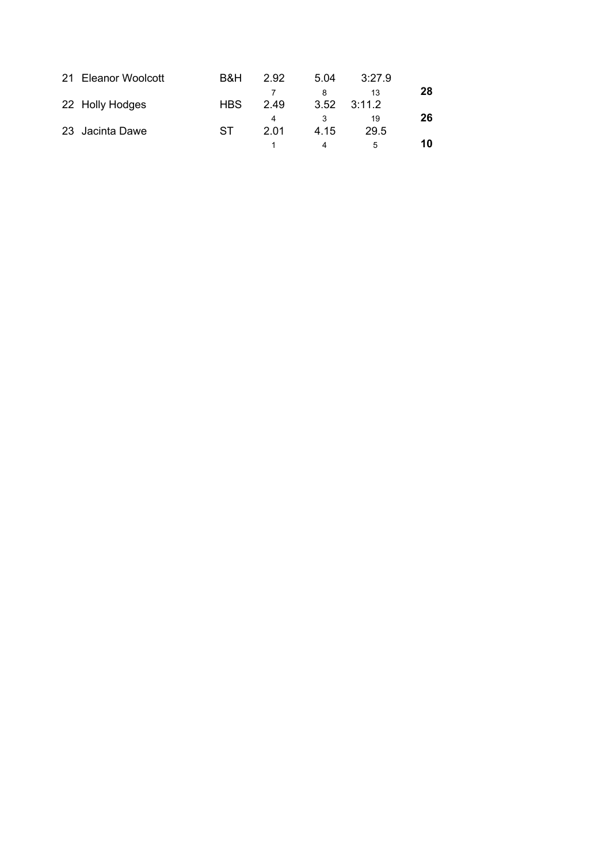| 21 Eleanor Woolcott | B&H        | 2.92 | 5.04 | 3:27.9 |    |
|---------------------|------------|------|------|--------|----|
|                     |            |      |      | 13     | 28 |
| 22 Holly Hodges     | <b>HBS</b> | 2.49 | 3.52 | 3:11.2 |    |
|                     |            | 4    |      | 19     | 26 |
| 23 Jacinta Dawe     | ST.        | 201  | 4.15 | 29.5   |    |
|                     |            |      |      | 5      | 10 |